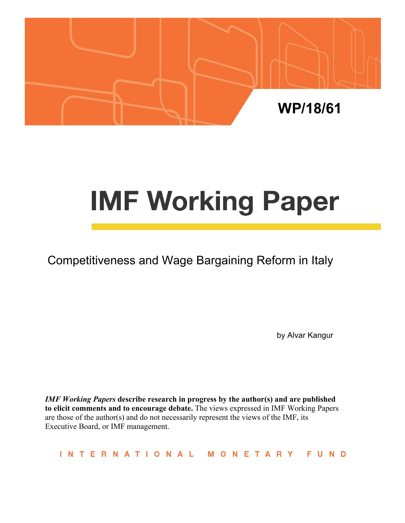

# **IMF Working Paper**

Competitiveness and Wage Bargaining Reform in Italy

by Alvar Kangur

*IMF Working Papers* **describe research in progress by the author(s) and are published to elicit comments and to encourage debate.** The views expressed in IMF Working Papers are those of the author(s) and do not necessarily represent the views of the IMF, its Executive Board, or IMF management.

INTERNATIONAL MONETARY FUND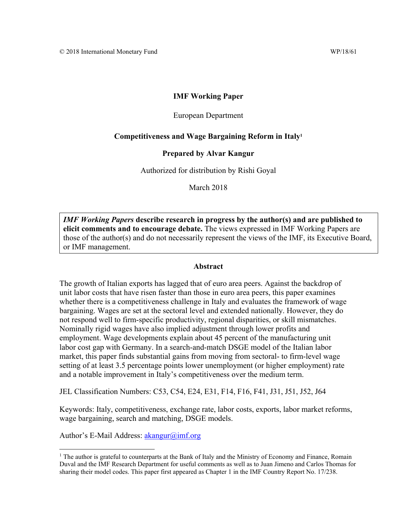#### **IMF Working Paper**

#### European Department

#### **Competitiveness and Wage Bargaining Reform in Italy1**

#### **Prepared by Alvar Kangur**

Authorized for distribution by Rishi Goyal

March 2018

*IMF Working Papers* **describe research in progress by the author(s) and are published to elicit comments and to encourage debate.** The views expressed in IMF Working Papers are those of the author(s) and do not necessarily represent the views of the IMF, its Executive Board, or IMF management.

#### **Abstract**

The growth of Italian exports has lagged that of euro area peers. Against the backdrop of unit labor costs that have risen faster than those in euro area peers, this paper examines whether there is a competitiveness challenge in Italy and evaluates the framework of wage bargaining. Wages are set at the sectoral level and extended nationally. However, they do not respond well to firm-specific productivity, regional disparities, or skill mismatches. Nominally rigid wages have also implied adjustment through lower profits and employment. Wage developments explain about 45 percent of the manufacturing unit labor cost gap with Germany. In a search-and-match DSGE model of the Italian labor market, this paper finds substantial gains from moving from sectoral- to firm-level wage setting of at least 3.5 percentage points lower unemployment (or higher employment) rate and a notable improvement in Italy's competitiveness over the medium term.

JEL Classification Numbers: C53, C54, E24, E31, F14, F16, F41, J31, J51, J52, J64

Keywords: Italy, competitiveness, exchange rate, labor costs, exports, labor market reforms, wage bargaining, search and matching, DSGE models.

Author's E-Mail Address: akangur@imf.org

<sup>&</sup>lt;sup>1</sup> The author is grateful to counterparts at the Bank of Italy and the Ministry of Economy and Finance, Romain Duval and the IMF Research Department for useful comments as well as to Juan Jimeno and Carlos Thomas for sharing their model codes. This paper first appeared as Chapter 1 in the IMF Country Report No. 17/238.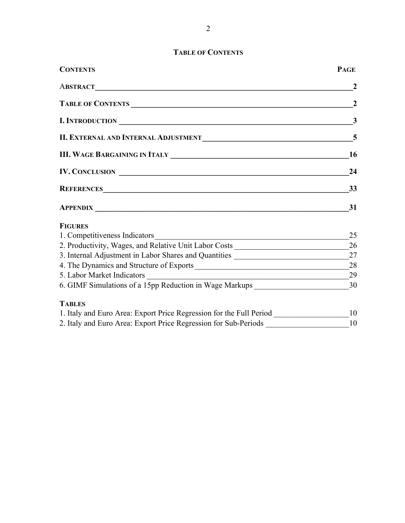# **TABLE OF CONTENTS**

| <b>CONTENTS</b>                                                                  | <b>PAGE</b>    |
|----------------------------------------------------------------------------------|----------------|
|                                                                                  | $\mathbf{2}$   |
| TABLE OF CONTENTS                                                                | $\overline{2}$ |
| I. INTRODUCTION                                                                  | $\mathbf{3}$   |
|                                                                                  | $\overline{5}$ |
|                                                                                  | <b>16</b>      |
| IV. CONCLUSION                                                                   | 24             |
| REFERENCES                                                                       | 33             |
|                                                                                  | 31             |
| <b>FIGURES</b>                                                                   |                |
| 1. Competitiveness Indicators                                                    | 25             |
|                                                                                  |                |
|                                                                                  |                |
| 4. The Dynamics and Structure of Exports 28                                      |                |
|                                                                                  | 29             |
|                                                                                  |                |
| <b>TABLES</b>                                                                    |                |
|                                                                                  |                |
| 2. Italy and Euro Area: Export Price Regression for Sub-Periods ________________ | 10             |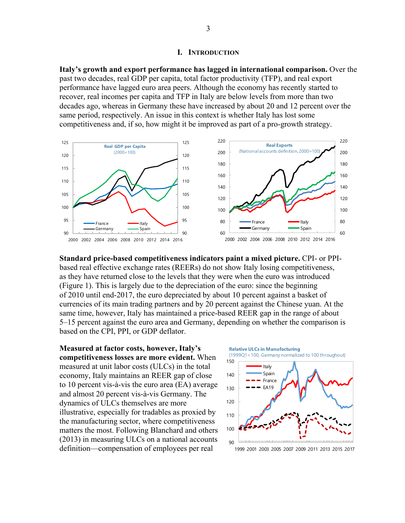#### **I. INTRODUCTION**

**Italy's growth and export performance has lagged in international comparison.** Over the past two decades, real GDP per capita, total factor productivity (TFP), and real export performance have lagged euro area peers. Although the economy has recently started to recover, real incomes per capita and TFP in Italy are below levels from more than two decades ago, whereas in Germany these have increased by about 20 and 12 percent over the same period, respectively. An issue in this context is whether Italy has lost some competitiveness and, if so, how might it be improved as part of a pro-growth strategy.



**Standard price-based competitiveness indicators paint a mixed picture.** CPI- or PPIbased real effective exchange rates (REERs) do not show Italy losing competitiveness, as they have returned close to the levels that they were when the euro was introduced (Figure 1). This is largely due to the depreciation of the euro: since the beginning of 2010 until end-2017, the euro depreciated by about 10 percent against a basket of currencies of its main trading partners and by 20 percent against the Chinese yuan. At the same time, however, Italy has maintained a price-based REER gap in the range of about 5–15 percent against the euro area and Germany, depending on whether the comparison is based on the CPI, PPI, or GDP deflator.

**Measured at factor costs, however, Italy's competitiveness losses are more evident.** When measured at unit labor costs (ULCs) in the total economy, Italy maintains an REER gap of close to 10 percent vis-à-vis the euro area (EA) average and almost 20 percent vis-à-vis Germany. The dynamics of ULCs themselves are more illustrative, especially for tradables as proxied by the manufacturing sector, where competitiveness matters the most. Following Blanchard and others (2013) in measuring ULCs on a national accounts definition—compensation of employees per real

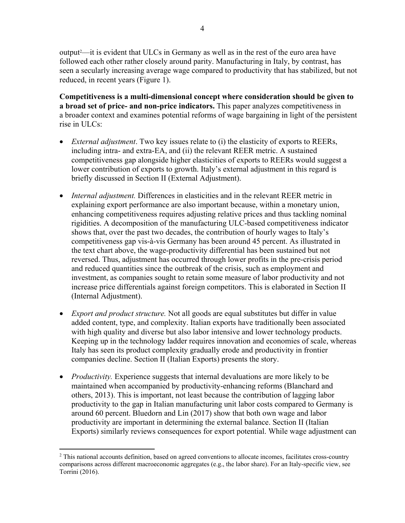output2 —it is evident that ULCs in Germany as well as in the rest of the euro area have followed each other rather closely around parity. Manufacturing in Italy, by contrast, has seen a secularly increasing average wage compared to productivity that has stabilized, but not reduced, in recent years (Figure 1).

**Competitiveness is a multi-dimensional concept where consideration should be given to a broad set of price- and non-price indicators.** This paper analyzes competitiveness in a broader context and examines potential reforms of wage bargaining in light of the persistent rise in ULCs:

- *External adjustment*. Two key issues relate to (i) the elasticity of exports to REERs, including intra- and extra-EA, and (ii) the relevant REER metric. A sustained competitiveness gap alongside higher elasticities of exports to REERs would suggest a lower contribution of exports to growth. Italy's external adjustment in this regard is briefly discussed in Section II (External Adjustment).
- *Internal adjustment.* Differences in elasticities and in the relevant REER metric in explaining export performance are also important because, within a monetary union, enhancing competitiveness requires adjusting relative prices and thus tackling nominal rigidities. A decomposition of the manufacturing ULC-based competitiveness indicator shows that, over the past two decades, the contribution of hourly wages to Italy's competitiveness gap vis-à-vis Germany has been around 45 percent. As illustrated in the text chart above, the wage-productivity differential has been sustained but not reversed. Thus, adjustment has occurred through lower profits in the pre-crisis period and reduced quantities since the outbreak of the crisis, such as employment and investment, as companies sought to retain some measure of labor productivity and not increase price differentials against foreign competitors. This is elaborated in Section II (Internal Adjustment).
- *Export and product structure.* Not all goods are equal substitutes but differ in value added content, type, and complexity. Italian exports have traditionally been associated with high quality and diverse but also labor intensive and lower technology products. Keeping up in the technology ladder requires innovation and economies of scale, whereas Italy has seen its product complexity gradually erode and productivity in frontier companies decline. Section II (Italian Exports) presents the story.
- *Productivity*. Experience suggests that internal devaluations are more likely to be maintained when accompanied by productivity-enhancing reforms (Blanchard and others, 2013). This is important, not least because the contribution of lagging labor productivity to the gap in Italian manufacturing unit labor costs compared to Germany is around 60 percent. Bluedorn and Lin (2017) show that both own wage and labor productivity are important in determining the external balance. Section II (Italian Exports) similarly reviews consequences for export potential. While wage adjustment can

 $\overline{a}$ <sup>2</sup> This national accounts definition, based on agreed conventions to allocate incomes, facilitates cross-country comparisons across different macroeconomic aggregates (e.g., the labor share). For an Italy-specific view, see Torrini (2016).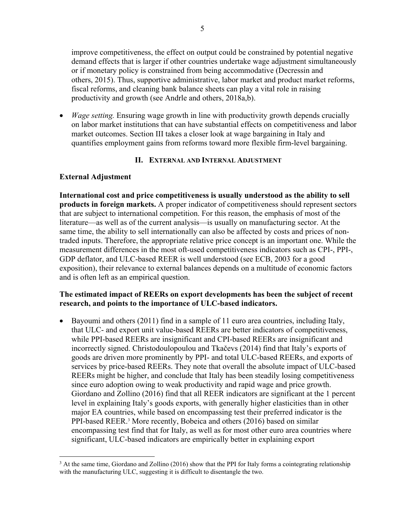improve competitiveness, the effect on output could be constrained by potential negative demand effects that is larger if other countries undertake wage adjustment simultaneously or if monetary policy is constrained from being accommodative (Decressin and others, 2015). Thus, supportive administrative, labor market and product market reforms, fiscal reforms, and cleaning bank balance sheets can play a vital role in raising productivity and growth (see Andrle and others, 2018a,b).

 *Wage setting.* Ensuring wage growth in line with productivity growth depends crucially on labor market institutions that can have substantial effects on competitiveness and labor market outcomes. Section III takes a closer look at wage bargaining in Italy and quantifies employment gains from reforms toward more flexible firm-level bargaining.

# **II. EXTERNAL AND INTERNAL ADJUSTMENT**

# **External Adjustment**

 $\overline{a}$ 

**International cost and price competitiveness is usually understood as the ability to sell products in foreign markets.** A proper indicator of competitiveness should represent sectors that are subject to international competition. For this reason, the emphasis of most of the literature—as well as of the current analysis—is usually on manufacturing sector. At the same time, the ability to sell internationally can also be affected by costs and prices of nontraded inputs. Therefore, the appropriate relative price concept is an important one. While the measurement differences in the most oft-used competitiveness indicators such as CPI-, PPI-, GDP deflator, and ULC-based REER is well understood (see ECB, 2003 for a good exposition), their relevance to external balances depends on a multitude of economic factors and is often left as an empirical question.

# **The estimated impact of REERs on export developments has been the subject of recent research, and points to the importance of ULC-based indicators.**

 $\bullet$  Bayoumi and others (2011) find in a sample of 11 euro area countries, including Italy, that ULC- and export unit value-based REERs are better indicators of competitiveness, while PPI-based REERs are insignificant and CPI-based REERs are insignificant and incorrectly signed. Christodoulopoulou and Tkačevs (2014) find that Italy's exports of goods are driven more prominently by PPI- and total ULC-based REERs, and exports of services by price-based REERs. They note that overall the absolute impact of ULC-based REERs might be higher, and conclude that Italy has been steadily losing competitiveness since euro adoption owing to weak productivity and rapid wage and price growth. Giordano and Zollino (2016) find that all REER indicators are significant at the 1 percent level in explaining Italy's goods exports, with generally higher elasticities than in other major EA countries, while based on encompassing test their preferred indicator is the PPI-based REER.<sup>3</sup> More recently, Bobeica and others (2016) based on similar encompassing test find that for Italy, as well as for most other euro area countries where significant, ULC-based indicators are empirically better in explaining export

<sup>&</sup>lt;sup>3</sup> At the same time, Giordano and Zollino (2016) show that the PPI for Italy forms a cointegrating relationship with the manufacturing ULC, suggesting it is difficult to disentangle the two.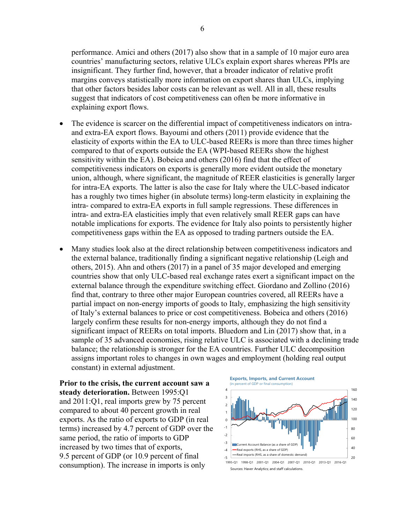performance. Amici and others (2017) also show that in a sample of 10 major euro area countries' manufacturing sectors, relative ULCs explain export shares whereas PPIs are insignificant. They further find, however, that a broader indicator of relative profit margins conveys statistically more information on export shares than ULCs, implying that other factors besides labor costs can be relevant as well. All in all, these results suggest that indicators of cost competitiveness can often be more informative in explaining export flows.

- The evidence is scarcer on the differential impact of competitiveness indicators on intraand extra-EA export flows. Bayoumi and others (2011) provide evidence that the elasticity of exports within the EA to ULC-based REERs is more than three times higher compared to that of exports outside the EA (WPI-based REERs show the highest sensitivity within the EA). Bobeica and others (2016) find that the effect of competitiveness indicators on exports is generally more evident outside the monetary union, although, where significant, the magnitude of REER elasticities is generally larger for intra-EA exports. The latter is also the case for Italy where the ULC-based indicator has a roughly two times higher (in absolute terms) long-term elasticity in explaining the intra- compared to extra-EA exports in full sample regressions. These differences in intra- and extra-EA elasticities imply that even relatively small REER gaps can have notable implications for exports. The evidence for Italy also points to persistently higher competitiveness gaps within the EA as opposed to trading partners outside the EA.
- Many studies look also at the direct relationship between competitiveness indicators and the external balance, traditionally finding a significant negative relationship (Leigh and others, 2015). Ahn and others (2017) in a panel of 35 major developed and emerging countries show that only ULC-based real exchange rates exert a significant impact on the external balance through the expenditure switching effect. Giordano and Zollino (2016) find that, contrary to three other major European countries covered, all REERs have a partial impact on non-energy imports of goods to Italy, emphasizing the high sensitivity of Italy's external balances to price or cost competitiveness. Bobeica and others (2016) largely confirm these results for non-energy imports, although they do not find a significant impact of REERs on total imports. Bluedorn and Lin (2017) show that, in a sample of 35 advanced economies, rising relative ULC is associated with a declining trade balance; the relationship is stronger for the EA countries. Further ULC decomposition assigns important roles to changes in own wages and employment (holding real output constant) in external adjustment.

**Prior to the crisis, the current account saw a steady deterioration.** Between 1995:Q1 and 2011:Q1, real imports grew by 75 percent compared to about 40 percent growth in real exports. As the ratio of exports to GDP (in real terms) increased by 4.7 percent of GDP over the same period, the ratio of imports to GDP increased by two times that of exports, 9.5 percent of GDP (or 10.9 percent of final consumption). The increase in imports is only



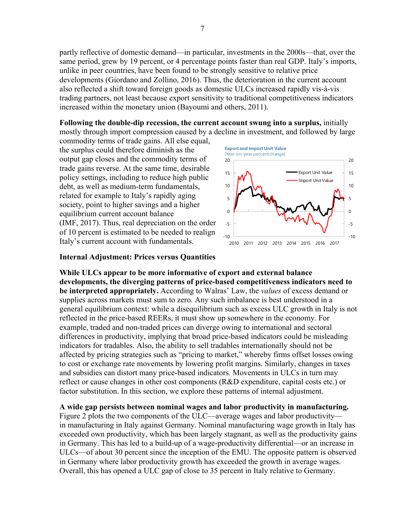partly reflective of domestic demand—in particular, investments in the 2000s—that, over the same period, grew by 19 percent, or 4 percentage points faster than real GDP. Italy's imports, unlike in peer countries, have been found to be strongly sensitive to relative price developments (Giordano and Zollino, 2016). Thus, the deterioration in the current account also reflected a shift toward foreign goods as domestic ULCs increased rapidly vis-à-vis trading partners, not least because export sensitivity to traditional competitiveness indicators increased within the monetary union (Bayoumi and others, 2011).

**Following the double-dip recession, the current account swung into a surplus,** initially mostly through import compression caused by a decline in investment, and followed by large

commodity terms of trade gains. All else equal, the surplus could therefore diminish as the output gap closes and the commodity terms of trade gains reverse. At the same time, desirable policy settings, including to reduce high public debt, as well as medium-term fundamentals, related for example to Italy's rapidly aging society, point to higher savings and a higher equilibrium current account balance (IMF, 2017). Thus, real depreciation on the order of 10 percent is estimated to be needed to realign Italy's current account with fundamentals.



#### **Internal Adjustment: Prices versus Quantities**

**While ULCs appear to be more informative of export and external balance developments, the diverging patterns of price-based competitiveness indicators need to be interpreted appropriately.** According to Walras' Law, the *values* of excess demand or supplies across markets must sum to zero. Any such imbalance is best understood in a general equilibrium context: while a disequilibrium such as excess ULC growth in Italy is not reflected in the price-based REERs, it must show up somewhere in the economy. For example, traded and non-traded prices can diverge owing to international and sectoral differences in productivity, implying that broad price-based indicators could be misleading indicators for tradables. Also, the ability to sell tradables internationally should not be affected by pricing strategies such as "pricing to market," whereby firms offset losses owing to cost or exchange rate movements by lowering profit margins. Similarly, changes in taxes and subsidies can distort many price-based indicators. Movements in ULCs in turn may reflect or cause changes in other cost components (R&D expenditure, capital costs etc.) or factor substitution. In this section, we explore these patterns of internal adjustment.

**A wide gap persists between nominal wages and labor productivity in manufacturing.**

Figure 2 plots the two components of the ULC—average wages and labor productivity in manufacturing in Italy against Germany. Nominal manufacturing wage growth in Italy has exceeded own productivity, which has been largely stagnant, as well as the productivity gains in Germany. This has led to a build-up of a wage-productivity differential—or an increase in ULCs—of about 30 percent since the inception of the EMU. The opposite pattern is observed in Germany where labor productivity growth has exceeded the growth in average wages. Overall, this has opened a ULC gap of close to 35 percent in Italy relative to Germany.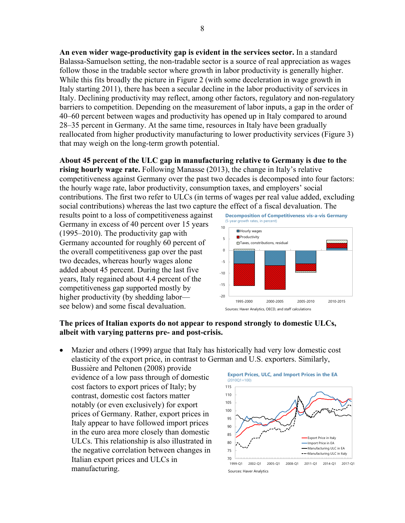**An even wider wage-productivity gap is evident in the services sector.** In a standard Balassa-Samuelson setting, the non-tradable sector is a source of real appreciation as wages follow those in the tradable sector where growth in labor productivity is generally higher. While this fits broadly the picture in Figure 2 (with some deceleration in wage growth in Italy starting 2011), there has been a secular decline in the labor productivity of services in Italy. Declining productivity may reflect, among other factors, regulatory and non-regulatory barriers to competition. Depending on the measurement of labor inputs, a gap in the order of 40–60 percent between wages and productivity has opened up in Italy compared to around 28–35 percent in Germany. At the same time, resources in Italy have been gradually reallocated from higher productivity manufacturing to lower productivity services (Figure 3) that may weigh on the long-term growth potential.

**About 45 percent of the ULC gap in manufacturing relative to Germany is due to the rising hourly wage rate.** Following Manasse (2013), the change in Italy's relative competitiveness against Germany over the past two decades is decomposed into four factors: the hourly wage rate, labor productivity, consumption taxes, and employers' social contributions. The first two refer to ULCs (in terms of wages per real value added, excluding social contributions) whereas the last two capture the effect of a fiscal devaluation. The

results point to a loss of competitiveness against Germany in excess of 40 percent over 15 years (1995–2010). The productivity gap with Germany accounted for roughly 60 percent of the overall competitiveness gap over the past two decades, whereas hourly wages alone added about 45 percent. During the last five years, Italy regained about 4.4 percent of the competitiveness gap supported mostly by higher productivity (by shedding labor see below) and some fiscal devaluation.



## **The prices of Italian exports do not appear to respond strongly to domestic ULCs, albeit with varying patterns pre- and post-crisis.**

 Mazier and others (1999) argue that Italy has historically had very low domestic cost elasticity of the export price, in contrast to German and U.S. exporters. Similarly,

Bussière and Peltonen (2008) provide evidence of a low pass through of domestic cost factors to export prices of Italy; by contrast, domestic cost factors matter notably (or even exclusively) for export prices of Germany. Rather, export prices in Italy appear to have followed import prices in the euro area more closely than domestic ULCs. This relationship is also illustrated in the negative correlation between changes in Italian export prices and ULCs in manufacturing.

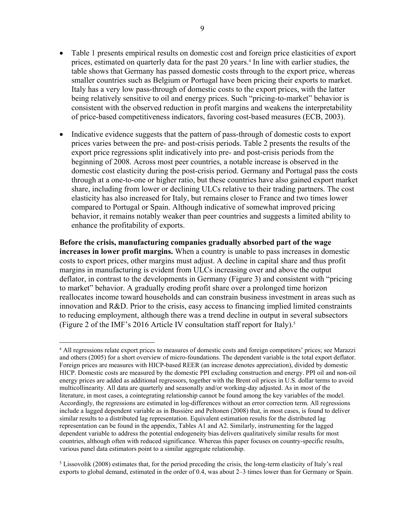- Table 1 presents empirical results on domestic cost and foreign price elasticities of export prices, estimated on quarterly data for the past 20 years.<sup>4</sup> In line with earlier studies, the table shows that Germany has passed domestic costs through to the export price, whereas smaller countries such as Belgium or Portugal have been pricing their exports to market. Italy has a very low pass-through of domestic costs to the export prices, with the latter being relatively sensitive to oil and energy prices. Such "pricing-to-market" behavior is consistent with the observed reduction in profit margins and weakens the interpretability of price-based competitiveness indicators, favoring cost-based measures (ECB, 2003).
- Indicative evidence suggests that the pattern of pass-through of domestic costs to export prices varies between the pre- and post-crisis periods. Table 2 presents the results of the export price regressions split indicatively into pre- and post-crisis periods from the beginning of 2008. Across most peer countries, a notable increase is observed in the domestic cost elasticity during the post-crisis period. Germany and Portugal pass the costs through at a one-to-one or higher ratio, but these countries have also gained export market share, including from lower or declining ULCs relative to their trading partners. The cost elasticity has also increased for Italy, but remains closer to France and two times lower compared to Portugal or Spain. Although indicative of somewhat improved pricing behavior, it remains notably weaker than peer countries and suggests a limited ability to enhance the profitability of exports.

**Before the crisis, manufacturing companies gradually absorbed part of the wage increases in lower profit margins.** When a country is unable to pass increases in domestic costs to export prices, other margins must adjust. A decline in capital share and thus profit margins in manufacturing is evident from ULCs increasing over and above the output deflator, in contrast to the developments in Germany (Figure 3) and consistent with "pricing to market" behavior. A gradually eroding profit share over a prolonged time horizon reallocates income toward households and can constrain business investment in areas such as innovation and R&D. Prior to the crisis, easy access to financing implied limited constraints to reducing employment, although there was a trend decline in output in several subsectors (Figure 2 of the IMF's 2016 Article IV consultation staff report for Italy).5

 $\overline{a}$ 

<sup>4</sup> All regressions relate export prices to measures of domestic costs and foreign competitors' prices; see Marazzi and others (2005) for a short overview of micro-foundations. The dependent variable is the total export deflator. Foreign prices are measures with HICP-based REER (an increase denotes appreciation), divided by domestic HICP. Domestic costs are measured by the domestic PPI excluding construction and energy. PPI oil and non-oil energy prices are added as additional regressors, together with the Brent oil prices in U.S. dollar terms to avoid multicollinearity. All data are quarterly and seasonally and/or working-day adjusted. As in most of the literature, in most cases, a cointegrating relationship cannot be found among the key variables of the model. Accordingly, the regressions are estimated in log-differences without an error correction term. All regressions include a lagged dependent variable as in Bussière and Peltonen (2008) that, in most cases, is found to deliver similar results to a distributed lag representation. Equivalent estimation results for the distributed lag representation can be found in the appendix, Tables A1 and A2. Similarly, instrumenting for the lagged dependent variable to address the potential endogeneity bias delivers qualitatively similar results for most countries, although often with reduced significance. Whereas this paper focuses on country-specific results, various panel data estimators point to a similar aggregate relationship.

<sup>&</sup>lt;sup>5</sup> Lissovolik (2008) estimates that, for the period preceding the crisis, the long-term elasticity of Italy's real exports to global demand, estimated in the order of 0.4, was about 2–3 times lower than for Germany or Spain.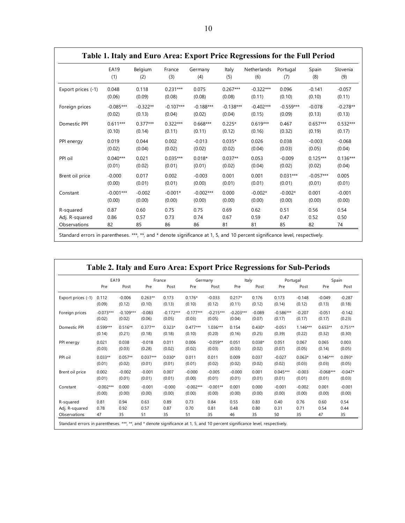|                    | <b>EA19</b> | Belgium    | France      | Germany     | Italy       | Netherlands | Portugal    | Spain       | Slovenia   |
|--------------------|-------------|------------|-------------|-------------|-------------|-------------|-------------|-------------|------------|
|                    | (1)         | (2)        | (3)         | (4)         | (5)         | (6)         | (7)         | (8)         | (9)        |
| Export prices (-1) | 0.048       | 0.118      | $0.231***$  | 0.075       | $0.267***$  | $-0.322***$ | 0.096       | $-0.141$    | $-0.057$   |
|                    | (0.06)      | (0.09)     | (0.08)      | (0.08)      | (0.08)      | (0.11)      | (0.10)      | (0.10)      | (0.11)     |
| Foreign prices     | $-0.085***$ | $-0.322**$ | $-0.107***$ | $-0.188***$ | $-0.138***$ | $-0.402***$ | $-0.559***$ | $-0.078$    | $-0.278**$ |
|                    | (0.02)      | (0.13)     | (0.04)      | (0.02)      | (0.04)      | (0.15)      | (0.09)      | (0.13)      | (0.13)     |
| Domestic PPI       | $0.611***$  | $0.377***$ | $0.322***$  | $0.668***$  | $0.225*$    | $0.619***$  | 0.467       | $0.657***$  | $0.532***$ |
|                    | (0.10)      | (0.14)     | (0.11)      | (0.11)      | (0.12)      | (0.16)      | (0.32)      | (0.19)      | (0.17)     |
| PPI energy         | 0.019       | 0.044      | 0.002       | $-0.013$    | $0.035*$    | 0.026       | 0.038       | $-0.003$    | $-0.068$   |
|                    | (0.02)      | (0.04)     | (0.02)      | (0.02)      | (0.02)      | (0.04)      | (0.03)      | (0.05)      | (0.04)     |
| PPI oil            | $0.040***$  | 0.021      | $0.035***$  | $0.018*$    | $0.037**$   | 0.053       | $-0.009$    | $0.125***$  | $0.136***$ |
|                    | (0.01)      | (0.02)     | (0.01)      | (0.01)      | (0.02)      | (0.04)      | (0.02)      | (0.02)      | (0.04)     |
| Brent oil price    | $-0.000$    | 0.017      | 0.002       | $-0.003$    | 0.001       | 0.001       | $0.031***$  | $-0.057***$ | 0.005      |
|                    | (0.00)      | (0.01)     | (0.01)      | (0.00)      | (0.01)      | (0.01)      | (0.01)      | (0.01)      | (0.01)     |
| Constant           | $-0.001***$ | $-0.002$   | $-0.001*$   | $-0.002***$ | 0.000       | $-0.002*$   | $-0.002*$   | 0.001       | $-0.001$   |
|                    | (0.00)      | (0.00)     | (0.00)      | (0.00)      | (0.00)      | (0.00)      | (0.00)      | (0.00)      | (0.00)     |
| R-squared          | 0.87        | 0.60       | 0.75        | 0.75        | 0.69        | 0.62        | 0.51        | 0.56        | 0.54       |
| Adj. R-squared     | 0.86        | 0.57       | 0.73        | 0.74        | 0.67        | 0.59        | 0.47        | 0.52        | 0.50       |
| Observations       | 82          | 85         | 86          | 86          | 81          | 81          | 85          | 82          | 74         |

|                    | <b>EA19</b> |             | France     |             | Germany     |             | Italy       |          | Portugal    |            | Spain       |           |
|--------------------|-------------|-------------|------------|-------------|-------------|-------------|-------------|----------|-------------|------------|-------------|-----------|
|                    | Pre         | Post        | Pre        | Post        | Pre         | Post        | Pre         | Post     | Pre         | Post       | Pre         | Post      |
| Export prices (-1) | 0.112       | $-0.006$    | $0.263**$  | 0.173       | $0.176*$    | $-0.033$    | $0.217*$    | 0.176    | 0.173       | $-0.148$   | $-0.049$    | $-0.287$  |
|                    | (0.09)      | (0.12)      | (0.10)     | (0.13)      | (0.10)      | (0.12)      | (0.11)      | (0.12)   | (0.14)      | (0.12)     | (0.13)      | (0.18)    |
| Foreign prices     | $-0.073***$ | $-0.109***$ | $-0.083$   | $-0.172***$ | $-0.177***$ | $-0.215***$ | $-0.203***$ | $-0.089$ | $-0.586***$ | $-0.207$   | $-0.051$    | $-0.142$  |
|                    | (0.02)      | (0.02)      | (0.06)     | (0.05)      | (0.03)      | (0.05)      | (0.04)      | (0.07)   | (0.17)      | (0.17)     | (0.17)      | (0.23)    |
| Domestic PPI       | $0.599***$  | $0.516**$   | $0.377**$  | $0.323*$    | $0.477***$  | $1.036***$  | 0.154       | $0.430*$ | $-0.051$    | $1.146***$ | $0.653**$   | $0.751**$ |
|                    | (0.14)      | (0.21)      | (0.18)     | (0.18)      | (0.10)      | (0.20)      | (0.16)      | (0.25)   | (0.39)      | (0.22)     | (0.32)      | (0.30)    |
| PPI energy         | 0.021       | 0.038       | $-0.018$   | 0.011       | 0.006       | $-0.059**$  | 0.051       | $0.038*$ | 0.051       | 0.067      | 0.065       | 0.003     |
|                    | (0.03)      | (0.03)      | (0.28)     | (0.02)      | (0.02)      | (0.03)      | (0.03)      | (0.02)   | (0.07)      | (0.05)     | (0.14)      | (0.05)    |
| PPI oil            | $0.033**$   | $0.057**$   | $0.037***$ | $0.030*$    | 0.011       | 0.011       | 0.009       | 0.037    | $-0.027$    | $0.063*$   | $0.146***$  | $0.093*$  |
|                    | (0.01)      | (0.02)      | (0.01)     | (0.01)      | (0.01)      | (0.02)      | (0.02)      | (0.02)   | (0.02)      | (0.03)     | (0.03)      | (0.05)    |
| Brent oil price    | 0.002       | $-0.002$    | $-0.001$   | 0.007       | $-0.000$    | $-0.005$    | $-0.000$    | 0.001    | $0.045***$  | $-0.003$   | $-0.068***$ | $-0.047*$ |
|                    | (0.01)      | (0.01)      | (0.01)     | (0.01)      | (0.00)      | (0.01)      | (0.01)      | (0.01)   | (0.01)      | (0.01)     | (0.01)      | (0.03)    |
| Constant           | $-0.002***$ | 0.000       | $-0.001$   | $-0.000$    | $-0.002***$ | $-0.001**$  | 0.001       | 0.000    | $-0.001$    | $-0.002$   | 0.001       | $-0.001$  |
|                    | (0.00)      | (0.00)      | (0.00)     | (0.00)      | (0.00)      | (0.00)      | (0.00)      | (0.00)   | (0.00)      | (0.00)     | (0.00)      | (0.00)    |
| R-squared          | 0.81        | 0.94        | 0.63       | 0.89        | 0.73        | 0.84        | 0.55        | 0.83     | 0.40        | 0.76       | 0.60        | 0.54      |
| Adj. R-squared     | 0.78        | 0.92        | 0.57       | 0.87        | 0.70        | 0.81        | 0.48        | 0.80     | 0.31        | 0.71       | 0.54        | 0.44      |
| Observations       | 47          | 35          | 51         | 35          | 51          | 35          | 46          | 35       | 50          | 35         | 47          | 35        |

h

# **Table 1. Italy and Euro Area: Export Price Regressions for the Full Period**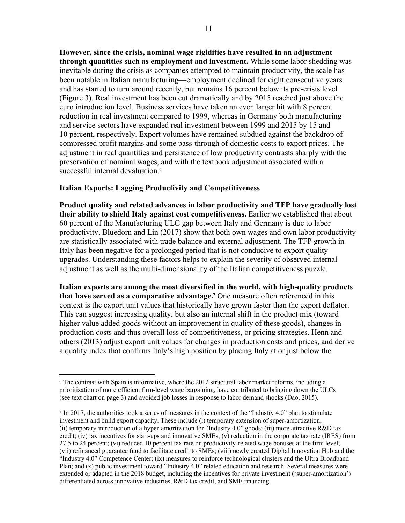**However, since the crisis, nominal wage rigidities have resulted in an adjustment through quantities such as employment and investment.** While some labor shedding was inevitable during the crisis as companies attempted to maintain productivity, the scale has been notable in Italian manufacturing—employment declined for eight consecutive years and has started to turn around recently, but remains 16 percent below its pre-crisis level (Figure 3). Real investment has been cut dramatically and by 2015 reached just above the euro introduction level. Business services have taken an even larger hit with 8 percent reduction in real investment compared to 1999, whereas in Germany both manufacturing and service sectors have expanded real investment between 1999 and 2015 by 15 and 10 percent, respectively. Export volumes have remained subdued against the backdrop of compressed profit margins and some pass-through of domestic costs to export prices. The adjustment in real quantities and persistence of low productivity contrasts sharply with the preservation of nominal wages, and with the textbook adjustment associated with a successful internal devaluation.<sup>6</sup>

## **Italian Exports: Lagging Productivity and Competitiveness**

**Product quality and related advances in labor productivity and TFP have gradually lost their ability to shield Italy against cost competitiveness.** Earlier we established that about 60 percent of the Manufacturing ULC gap between Italy and Germany is due to labor productivity. Bluedorn and Lin (2017) show that both own wages and own labor productivity are statistically associated with trade balance and external adjustment. The TFP growth in Italy has been negative for a prolonged period that is not conducive to export quality upgrades. Understanding these factors helps to explain the severity of observed internal adjustment as well as the multi-dimensionality of the Italian competitiveness puzzle.

**Italian exports are among the most diversified in the world, with high-quality products that have served as a comparative advantage.7** One measure often referenced in this context is the export unit values that historically have grown faster than the export deflator. This can suggest increasing quality, but also an internal shift in the product mix (toward higher value added goods without an improvement in quality of these goods), changes in production costs and thus overall loss of competitiveness, or pricing strategies. Henn and others (2013) adjust export unit values for changes in production costs and prices, and derive a quality index that confirms Italy's high position by placing Italy at or just below the

<sup>&</sup>lt;u>.</u>  $6$  The contrast with Spain is informative, where the 2012 structural labor market reforms, including a prioritization of more efficient firm-level wage bargaining, have contributed to bringing down the ULCs (see text chart on page 3) and avoided job losses in response to labor demand shocks (Dao, 2015).

 $^7$  In 2017, the authorities took a series of measures in the context of the "Industry 4.0" plan to stimulate investment and build export capacity. These include (i) temporary extension of super-amortization; (ii) temporary introduction of a hyper-amortization for "Industry 4.0" goods; (iii) more attractive R&D tax credit; (iv) tax incentives for start-ups and innovative SMEs; (v) reduction in the corporate tax rate (IRES) from 27.5 to 24 percent; (vi) reduced 10 percent tax rate on productivity-related wage bonuses at the firm level; (vii) refinanced guarantee fund to facilitate credit to SMEs; (viii) newly created Digital Innovation Hub and the "Industry 4.0" Competence Center; (ix) measures to reinforce technological clusters and the Ultra Broadband Plan; and (x) public investment toward "Industry 4.0" related education and research. Several measures were extended or adapted in the 2018 budget, including the incentives for private investment ('super-amortization') differentiated across innovative industries, R&D tax credit, and SME financing.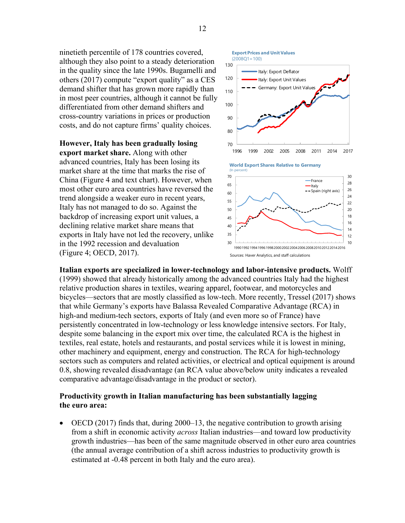ninetieth percentile of 178 countries covered, although they also point to a steady deterioration in the quality since the late 1990s. Bugamelli and others (2017) compute "export quality" as a CES demand shifter that has grown more rapidly than in most peer countries, although it cannot be fully differentiated from other demand shifters and cross-country variations in prices or production costs, and do not capture firms' quality choices.

**However, Italy has been gradually losing export market share.** Along with other advanced countries, Italy has been losing its market share at the time that marks the rise of China (Figure 4 and text chart). However, when most other euro area countries have reversed the trend alongside a weaker euro in recent years, Italy has not managed to do so. Against the backdrop of increasing export unit values, a declining relative market share means that exports in Italy have not led the recovery, unlike in the 1992 recession and devaluation (Figure 4; OECD, 2017).



Italy: Export Deflator

**Export Prices and Unit Values**

(2008Q1=100)

19901992199419961998200020022004200620082010201220142016

Sources: Haver Analytics, and staff calculations

**Italian exports are specialized in lower-technology and labor-intensive products.** Wolff (1999) showed that already historically among the advanced countries Italy had the highest relative production shares in textiles, wearing apparel, footwear, and motorcycles and bicycles—sectors that are mostly classified as low-tech. More recently, Tressel (2017) shows that while Germany's exports have Balassa Revealed Comparative Advantage (RCA) in high-and medium-tech sectors, exports of Italy (and even more so of France) have persistently concentrated in low-technology or less knowledge intensive sectors. For Italy, despite some balancing in the export mix over time, the calculated RCA is the highest in textiles, real estate, hotels and restaurants, and postal services while it is lowest in mining, other machinery and equipment, energy and construction. The RCA for high-technology sectors such as computers and related activities, or electrical and optical equipment is around 0.8, showing revealed disadvantage (an RCA value above/below unity indicates a revealed comparative advantage/disadvantage in the product or sector).

30

# **Productivity growth in Italian manufacturing has been substantially lagging the euro area:**

 $\bullet$  OECD (2017) finds that, during 2000–13, the negative contribution to growth arising from a shift in economic activity *across* Italian industries—and toward low productivity growth industries—has been of the same magnitude observed in other euro area countries (the annual average contribution of a shift across industries to productivity growth is estimated at -0.48 percent in both Italy and the euro area).

130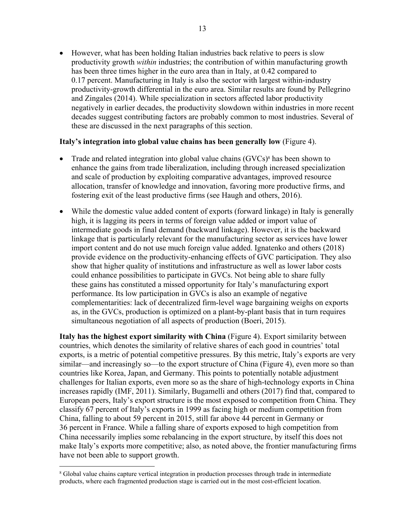However, what has been holding Italian industries back relative to peers is slow productivity growth *within* industries; the contribution of within manufacturing growth has been three times higher in the euro area than in Italy, at 0.42 compared to 0.17 percent. Manufacturing in Italy is also the sector with largest within-industry productivity-growth differential in the euro area. Similar results are found by Pellegrino and Zingales (2014). While specialization in sectors affected labor productivity negatively in earlier decades, the productivity slowdown within industries in more recent decades suggest contributing factors are probably common to most industries. Several of these are discussed in the next paragraphs of this section.

## **Italy's integration into global value chains has been generally low** (Figure 4).

- Trade and related integration into global value chains  $(GVCs)^8$  has been shown to enhance the gains from trade liberalization, including through increased specialization and scale of production by exploiting comparative advantages, improved resource allocation, transfer of knowledge and innovation, favoring more productive firms, and fostering exit of the least productive firms (see Haugh and others, 2016).
- While the domestic value added content of exports (forward linkage) in Italy is generally high, it is lagging its peers in terms of foreign value added or import value of intermediate goods in final demand (backward linkage). However, it is the backward linkage that is particularly relevant for the manufacturing sector as services have lower import content and do not use much foreign value added. Ignatenko and others (2018) provide evidence on the productivity-enhancing effects of GVC participation. They also show that higher quality of institutions and infrastructure as well as lower labor costs could enhance possibilities to participate in GVCs. Not being able to share fully these gains has constituted a missed opportunity for Italy's manufacturing export performance. Its low participation in GVCs is also an example of negative complementarities: lack of decentralized firm-level wage bargaining weighs on exports as, in the GVCs, production is optimized on a plant-by-plant basis that in turn requires simultaneous negotiation of all aspects of production (Boeri, 2015).

**Italy has the highest export similarity with China** (Figure 4). Export similarity between countries, which denotes the similarity of relative shares of each good in countries' total exports, is a metric of potential competitive pressures. By this metric, Italy's exports are very similar—and increasingly so—to the export structure of China (Figure 4), even more so than countries like Korea, Japan, and Germany. This points to potentially notable adjustment challenges for Italian exports, even more so as the share of high-technology exports in China increases rapidly (IMF, 2011). Similarly, Bugamelli and others (2017) find that, compared to European peers, Italy's export structure is the most exposed to competition from China. They classify 67 percent of Italy's exports in 1999 as facing high or medium competition from China, falling to about 59 percent in 2015, still far above 44 percent in Germany or 36 percent in France. While a falling share of exports exposed to high competition from China necessarily implies some rebalancing in the export structure, by itself this does not make Italy's exports more competitive; also, as noted above, the frontier manufacturing firms have not been able to support growth.

 $\overline{a}$ 

<sup>8</sup> Global value chains capture vertical integration in production processes through trade in intermediate products, where each fragmented production stage is carried out in the most cost-efficient location.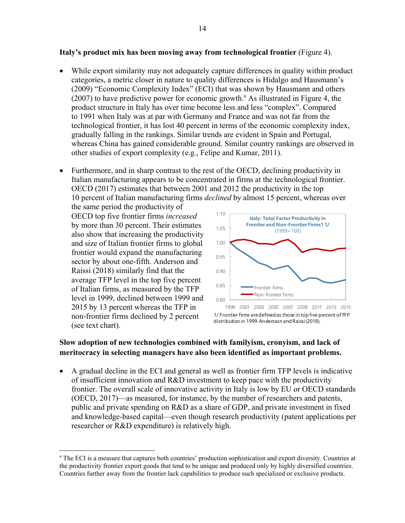## **Italy's product mix has been moving away from technological frontier** (Figure 4).

- While export similarity may not adequately capture differences in quality within product categories, a metric closer in nature to quality differences is Hidalgo and Hausmann's (2009) "Economic Complexity Index" (ECI) that was shown by Hausmann and others  $(2007)$  to have predictive power for economic growth.<sup>9</sup> As illustrated in Figure 4, the product structure in Italy has over time become less and less "complex". Compared to 1991 when Italy was at par with Germany and France and was not far from the technological frontier, it has lost 40 percent in terms of the economic complexity index, gradually falling in the rankings. Similar trends are evident in Spain and Portugal, whereas China has gained considerable ground. Similar country rankings are observed in other studies of export complexity (e.g., Felipe and Kumar, 2011).
- Furthermore, and in sharp contrast to the rest of the OECD, declining productivity in Italian manufacturing appears to be concentrated in firms at the technological frontier. OECD (2017) estimates that between 2001 and 2012 the productivity in the top 10 percent of Italian manufacturing firms *declined* by almost 15 percent, whereas over

the same period the productivity of OECD top five frontier firms *increased* by more than 30 percent. Their estimates also show that increasing the productivity and size of Italian frontier firms to global frontier would expand the manufacturing sector by about one-fifth. Anderson and Raissi (2018) similarly find that the average TFP level in the top five percent of Italian firms, as measured by the TFP level in 1999, declined between 1999 and 2015 by 13 percent whereas the TFP in non-frontier firms declined by 2 percent (see text chart).

 $\overline{a}$ 



1/ Frontier firms are defined as those in top five percent of TFP distribution in 1999. Andersson and Raissi (2018).

# **Slow adoption of new technologies combined with familyism, cronyism, and lack of meritocracy in selecting managers have also been identified as important problems.**

 A gradual decline in the ECI and general as well as frontier firm TFP levels is indicative of insufficient innovation and R&D investment to keep pace with the productivity frontier. The overall scale of innovative activity in Italy is low by EU or OECD standards (OECD, 2017)—as measured, for instance, by the number of researchers and patents, public and private spending on R&D as a share of GDP, and private investment in fixed and knowledge-based capital—even though research productivity (patent applications per researcher or R&D expenditure) is relatively high.

<sup>9</sup> The ECI is a measure that captures both countries' production sophistication and export diversity. Countries at the productivity frontier export goods that tend to be unique and produced only by highly diversified countries. Countries further away from the frontier lack capabilities to produce such specialized or exclusive products.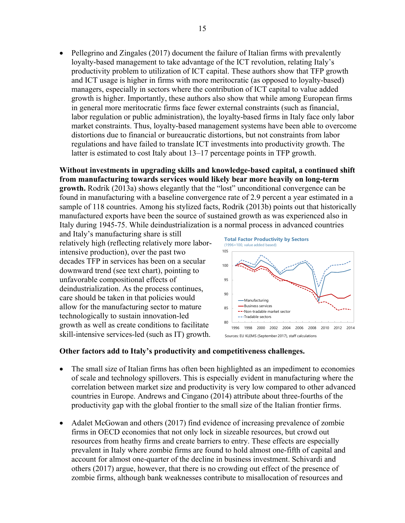Pellegrino and Zingales (2017) document the failure of Italian firms with prevalently loyalty-based management to take advantage of the ICT revolution, relating Italy's productivity problem to utilization of ICT capital. These authors show that TFP growth and ICT usage is higher in firms with more meritocratic (as opposed to loyalty-based) managers, especially in sectors where the contribution of ICT capital to value added growth is higher. Importantly, these authors also show that while among European firms in general more meritocratic firms face fewer external constraints (such as financial, labor regulation or public administration), the loyalty-based firms in Italy face only labor market constraints. Thus, loyalty-based management systems have been able to overcome distortions due to financial or bureaucratic distortions, but not constraints from labor regulations and have failed to translate ICT investments into productivity growth. The latter is estimated to cost Italy about 13–17 percentage points in TFP growth.

# **Without investments in upgrading skills and knowledge-based capital, a continued shift from manufacturing towards services would likely bear more heavily on long-term**

**growth.** Rodrik (2013a) shows elegantly that the "lost" unconditional convergence can be found in manufacturing with a baseline convergence rate of 2.9 percent a year estimated in a sample of 118 countries. Among his stylized facts, Rodrik (2013b) points out that historically manufactured exports have been the source of sustained growth as was experienced also in Italy during 1945-75. While deindustrialization is a normal process in advanced countries

and Italy's manufacturing share is still relatively high (reflecting relatively more laborintensive production), over the past two decades TFP in services has been on a secular downward trend (see text chart), pointing to unfavorable compositional effects of deindustrialization. As the process continues, care should be taken in that policies would allow for the manufacturing sector to mature technologically to sustain innovation-led growth as well as create conditions to facilitate skill-intensive services-led (such as IT) growth.



# **Other factors add to Italy's productivity and competitiveness challenges.**

- The small size of Italian firms has often been highlighted as an impediment to economies of scale and technology spillovers. This is especially evident in manufacturing where the correlation between market size and productivity is very low compared to other advanced countries in Europe. Andrews and Cingano (2014) attribute about three-fourths of the productivity gap with the global frontier to the small size of the Italian frontier firms.
- Adalet McGowan and others (2017) find evidence of increasing prevalence of zombie firms in OECD economies that not only lock in sizeable resources, but crowd out resources from heathy firms and create barriers to entry. These effects are especially prevalent in Italy where zombie firms are found to hold almost one-fifth of capital and account for almost one-quarter of the decline in business investment. Schivardi and others (2017) argue, however, that there is no crowding out effect of the presence of zombie firms, although bank weaknesses contribute to misallocation of resources and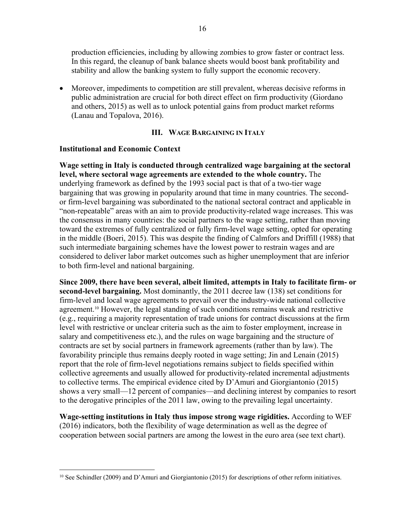production efficiencies, including by allowing zombies to grow faster or contract less. In this regard, the cleanup of bank balance sheets would boost bank profitability and stability and allow the banking system to fully support the economic recovery.

 Moreover, impediments to competition are still prevalent, whereas decisive reforms in public administration are crucial for both direct effect on firm productivity (Giordano and others, 2015) as well as to unlock potential gains from product market reforms (Lanau and Topalova, 2016).

## **III. WAGE BARGAINING IN ITALY**

#### **Institutional and Economic Context**

 $\overline{a}$ 

**Wage setting in Italy is conducted through centralized wage bargaining at the sectoral level, where sectoral wage agreements are extended to the whole country.** The underlying framework as defined by the 1993 social pact is that of a two-tier wage bargaining that was growing in popularity around that time in many countries. The secondor firm-level bargaining was subordinated to the national sectoral contract and applicable in "non-repeatable" areas with an aim to provide productivity-related wage increases. This was the consensus in many countries: the social partners to the wage setting, rather than moving toward the extremes of fully centralized or fully firm-level wage setting, opted for operating in the middle (Boeri, 2015). This was despite the finding of Calmfors and Driffill (1988) that such intermediate bargaining schemes have the lowest power to restrain wages and are considered to deliver labor market outcomes such as higher unemployment that are inferior to both firm-level and national bargaining.

**Since 2009, there have been several, albeit limited, attempts in Italy to facilitate firm- or second-level bargaining.** Most dominantly, the 2011 decree law (138) set conditions for firm-level and local wage agreements to prevail over the industry-wide national collective agreement.<sup>10</sup> However, the legal standing of such conditions remains weak and restrictive (e.g., requiring a majority representation of trade unions for contract discussions at the firm level with restrictive or unclear criteria such as the aim to foster employment, increase in salary and competitiveness etc.), and the rules on wage bargaining and the structure of contracts are set by social partners in framework agreements (rather than by law). The favorability principle thus remains deeply rooted in wage setting; Jin and Lenain (2015) report that the role of firm-level negotiations remains subject to fields specified within collective agreements and usually allowed for productivity-related incremental adjustments to collective terms. The empirical evidence cited by D'Amuri and Giorgiantonio (2015) shows a very small—12 percent of companies—and declining interest by companies to resort to the derogative principles of the 2011 law, owing to the prevailing legal uncertainty.

**Wage-setting institutions in Italy thus impose strong wage rigidities.** According to WEF (2016) indicators, both the flexibility of wage determination as well as the degree of cooperation between social partners are among the lowest in the euro area (see text chart).

<sup>10</sup> See Schindler (2009) and D'Amuri and Giorgiantonio (2015) for descriptions of other reform initiatives.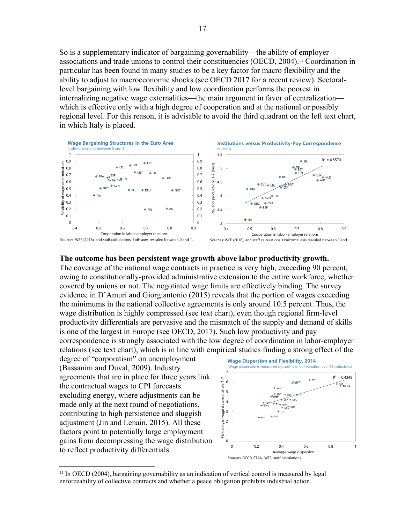So is a supplementary indicator of bargaining governability—the ability of employer associations and trade unions to control their constituencies (OECD, 2004).<sup>11</sup> Coordination in particular has been found in many studies to be a key factor for macro flexibility and the ability to adjust to macroeconomic shocks (see OECD 2017 for a recent review). Sectorallevel bargaining with low flexibility and low coordination performs the poorest in internalizing negative wage externalities—the main argument in favor of centralization which is effective only with a high degree of cooperation and at the national or possibly regional level. For this reason, it is advisable to avoid the third quadrant on the left text chart, in which Italy is placed.



#### **The outcome has been persistent wage growth above labor productivity growth.**

The coverage of the national wage contracts in practice is very high, exceeding 90 percent, owing to constitutionally-provided administrative extension to the entire workforce, whether covered by unions or not. The negotiated wage limits are effectively binding. The survey evidence in D'Amuri and Giorgiantonio (2015) reveals that the portion of wages exceeding the minimums in the national collective agreements is only around 10.5 percent. Thus, the wage distribution is highly compressed (see text chart), even though regional firm-level productivity differentials are pervasive and the mismatch of the supply and demand of skills is one of the largest in Europe (see OECD, 2017). Such low productivity and pay correspondence is strongly associated with the low degree of coordination in labor-employer relations (see text chart), which is in line with empirical studies finding a strong effect of the

degree of "corporatism" on unemployment (Bassanini and Duval, 2009). Industry agreements that are in place for three years link the contractual wages to CPI forecasts excluding energy, where adjustments can be made only at the next round of negotiations, contributing to high persistence and sluggish adjustment (Jin and Lenain, 2015). All these factors point to potentially large employment gains from decompressing the wage distribution to reflect productivity differentials.

 $\overline{a}$ 



<sup>11</sup> In OECD (2004), bargaining governability as an indication of vertical control is measured by legal enforceability of collective contracts and whether a peace obligation prohibits industrial action.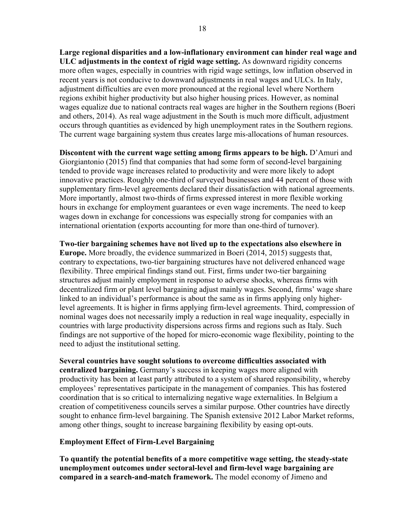**Large regional disparities and a low-inflationary environment can hinder real wage and ULC adjustments in the context of rigid wage setting.** As downward rigidity concerns more often wages, especially in countries with rigid wage settings, low inflation observed in recent years is not conducive to downward adjustments in real wages and ULCs. In Italy, adjustment difficulties are even more pronounced at the regional level where Northern regions exhibit higher productivity but also higher housing prices. However, as nominal wages equalize due to national contracts real wages are higher in the Southern regions (Boeri and others, 2014). As real wage adjustment in the South is much more difficult, adjustment occurs through quantities as evidenced by high unemployment rates in the Southern regions. The current wage bargaining system thus creates large mis-allocations of human resources.

**Discontent with the current wage setting among firms appears to be high.** D'Amuri and Giorgiantonio (2015) find that companies that had some form of second-level bargaining tended to provide wage increases related to productivity and were more likely to adopt innovative practices. Roughly one-third of surveyed businesses and 44 percent of those with supplementary firm-level agreements declared their dissatisfaction with national agreements. More importantly, almost two-thirds of firms expressed interest in more flexible working hours in exchange for employment guarantees or even wage increments. The need to keep wages down in exchange for concessions was especially strong for companies with an international orientation (exports accounting for more than one-third of turnover).

**Two-tier bargaining schemes have not lived up to the expectations also elsewhere in Europe.** More broadly, the evidence summarized in Boeri (2014, 2015) suggests that, contrary to expectations, two-tier bargaining structures have not delivered enhanced wage flexibility. Three empirical findings stand out. First, firms under two-tier bargaining structures adjust mainly employment in response to adverse shocks, whereas firms with decentralized firm or plant level bargaining adjust mainly wages. Second, firms' wage share linked to an individual's performance is about the same as in firms applying only higherlevel agreements. It is higher in firms applying firm-level agreements. Third, compression of nominal wages does not necessarily imply a reduction in real wage inequality, especially in countries with large productivity dispersions across firms and regions such as Italy. Such findings are not supportive of the hoped for micro-economic wage flexibility, pointing to the need to adjust the institutional setting.

**Several countries have sought solutions to overcome difficulties associated with centralized bargaining.** Germany's success in keeping wages more aligned with productivity has been at least partly attributed to a system of shared responsibility, whereby employees' representatives participate in the management of companies. This has fostered coordination that is so critical to internalizing negative wage externalities. In Belgium a creation of competitiveness councils serves a similar purpose. Other countries have directly sought to enhance firm-level bargaining. The Spanish extensive 2012 Labor Market reforms, among other things, sought to increase bargaining flexibility by easing opt-outs.

# **Employment Effect of Firm-Level Bargaining**

**To quantify the potential benefits of a more competitive wage setting, the steady-state unemployment outcomes under sectoral-level and firm-level wage bargaining are compared in a search-and-match framework.** The model economy of Jimeno and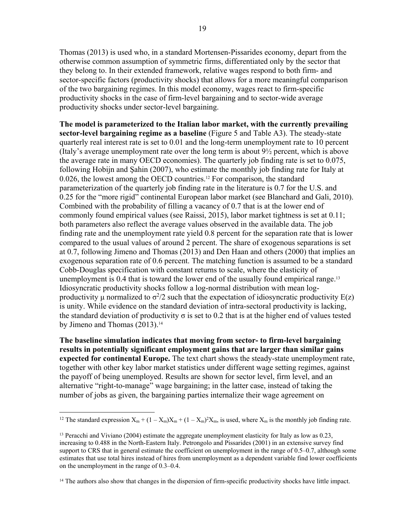Thomas (2013) is used who, in a standard Mortensen-Pissarides economy, depart from the otherwise common assumption of symmetric firms, differentiated only by the sector that they belong to. In their extended framework, relative wages respond to both firm- and sector-specific factors (productivity shocks) that allows for a more meaningful comparison of the two bargaining regimes. In this model economy, wages react to firm-specific productivity shocks in the case of firm-level bargaining and to sector-wide average productivity shocks under sector-level bargaining.

**The model is parameterized to the Italian labor market, with the currently prevailing sector-level bargaining regime as a baseline** (Figure 5 and Table A3). The steady-state quarterly real interest rate is set to 0.01 and the long-term unemployment rate to 10 percent (Italy's average unemployment rate over the long term is about  $9\frac{1}{2}$  percent, which is above the average rate in many OECD economies). The quarterly job finding rate is set to 0.075, following Hobijn and Şahin (2007), who estimate the monthly job finding rate for Italy at 0.026, the lowest among the OECD countries.12 For comparison, the standard parameterization of the quarterly job finding rate in the literature is 0.7 for the U.S. and 0.25 for the "more rigid" continental European labor market (see Blanchard and Gali, 2010). Combined with the probability of filling a vacancy of 0.7 that is at the lower end of commonly found empirical values (see Raissi, 2015), labor market tightness is set at 0.11; both parameters also reflect the average values observed in the available data. The job finding rate and the unemployment rate yield 0.8 percent for the separation rate that is lower compared to the usual values of around 2 percent. The share of exogenous separations is set at 0.7, following Jimeno and Thomas (2013) and Den Haan and others (2000) that implies an exogenous separation rate of 0.6 percent. The matching function is assumed to be a standard Cobb-Douglas specification with constant returns to scale, where the elasticity of unemployment is 0.4 that is toward the lower end of the usually found empirical range.<sup>13</sup> Idiosyncratic productivity shocks follow a log-normal distribution with mean logproductivity  $\mu$  normalized to  $\sigma^2/2$  such that the expectation of idiosyncratic productivity E(z) is unity. While evidence on the standard deviation of intra-sectoral productivity is lacking, the standard deviation of productivity  $\sigma$  is set to 0.2 that is at the higher end of values tested by Jimeno and Thomas (2013).<sup>14</sup>

**The baseline simulation indicates that moving from sector- to firm-level bargaining results in potentially significant employment gains that are larger than similar gains expected for continental Europe.** The text chart shows the steady-state unemployment rate, together with other key labor market statistics under different wage setting regimes, against the payoff of being unemployed. Results are shown for sector level, firm level, and an alternative "right-to-manage" wage bargaining; in the latter case, instead of taking the number of jobs as given, the bargaining parties internalize their wage agreement on

 $\overline{a}$ 

<sup>&</sup>lt;sup>12</sup> The standard expression  $X_m + (1 - X_m)X_m + (1 - X_m)^2X_m$ , is used, where  $X_m$  is the monthly job finding rate.

<sup>&</sup>lt;sup>13</sup> Peracchi and Viviano (2004) estimate the aggregate unemployment elasticity for Italy as low as 0.23, increasing to 0.488 in the North-Eastern Italy. Petrongolo and Pissarides (2001) in an extensive survey find support to CRS that in general estimate the coefficient on unemployment in the range of 0.5–0.7, although some estimates that use total hires instead of hires from unemployment as a dependent variable find lower coefficients on the unemployment in the range of 0.3–0.4.

<sup>&</sup>lt;sup>14</sup> The authors also show that changes in the dispersion of firm-specific productivity shocks have little impact.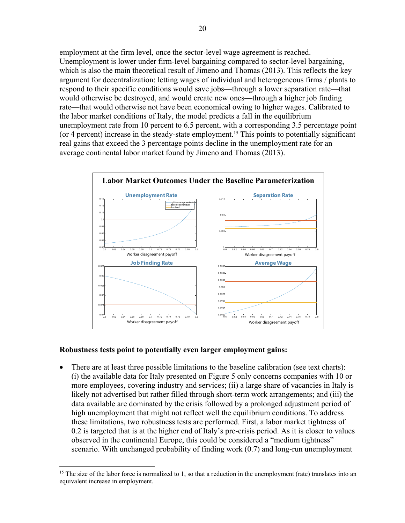employment at the firm level, once the sector-level wage agreement is reached. Unemployment is lower under firm-level bargaining compared to sector-level bargaining, which is also the main theoretical result of Jimeno and Thomas (2013). This reflects the key argument for decentralization: letting wages of individual and heterogeneous firms / plants to respond to their specific conditions would save jobs—through a lower separation rate—that would otherwise be destroyed, and would create new ones—through a higher job finding rate—that would otherwise not have been economical owing to higher wages. Calibrated to the labor market conditions of Italy, the model predicts a fall in the equilibrium unemployment rate from 10 percent to 6.5 percent, with a corresponding 3.5 percentage point (or 4 percent) increase in the steady-state employment.<sup>15</sup> This points to potentially significant real gains that exceed the 3 percentage points decline in the unemployment rate for an average continental labor market found by Jimeno and Thomas (2013).



#### **Robustness tests point to potentially even larger employment gains:**

 $\overline{a}$ 

 There are at least three possible limitations to the baseline calibration (see text charts): (i) the available data for Italy presented on Figure 5 only concerns companies with 10 or more employees, covering industry and services; (ii) a large share of vacancies in Italy is likely not advertised but rather filled through short-term work arrangements; and (iii) the data available are dominated by the crisis followed by a prolonged adjustment period of high unemployment that might not reflect well the equilibrium conditions. To address these limitations, two robustness tests are performed. First, a labor market tightness of 0.2 is targeted that is at the higher end of Italy's pre-crisis period. As it is closer to values observed in the continental Europe, this could be considered a "medium tightness" scenario. With unchanged probability of finding work (0.7) and long-run unemployment

<sup>&</sup>lt;sup>15</sup> The size of the labor force is normalized to 1, so that a reduction in the unemployment (rate) translates into an equivalent increase in employment.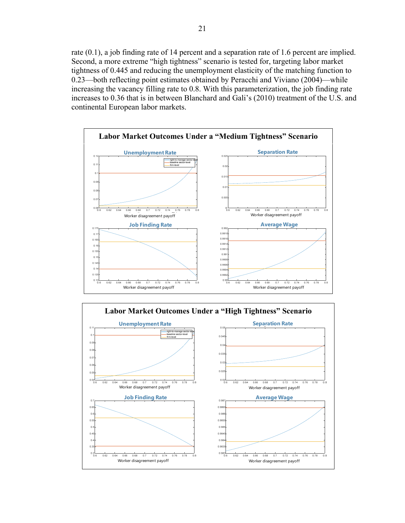rate (0.1), a job finding rate of 14 percent and a separation rate of 1.6 percent are implied. Second, a more extreme "high tightness" scenario is tested for, targeting labor market tightness of 0.445 and reducing the unemployment elasticity of the matching function to 0.23—both reflecting point estimates obtained by Peracchi and Viviano (2004)—while increasing the vacancy filling rate to 0.8. With this parameterization, the job finding rate increases to 0.36 that is in between Blanchard and Gali's (2010) treatment of the U.S. and continental European labor markets.



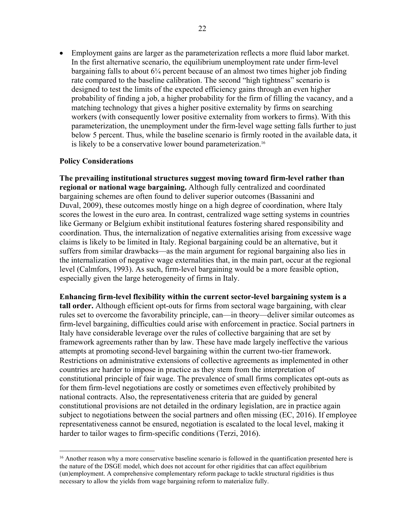Employment gains are larger as the parameterization reflects a more fluid labor market. In the first alternative scenario, the equilibrium unemployment rate under firm-level bargaining falls to about 6¼ percent because of an almost two times higher job finding rate compared to the baseline calibration. The second "high tightness" scenario is designed to test the limits of the expected efficiency gains through an even higher probability of finding a job, a higher probability for the firm of filling the vacancy, and a matching technology that gives a higher positive externality by firms on searching workers (with consequently lower positive externality from workers to firms). With this parameterization, the unemployment under the firm-level wage setting falls further to just below 5 percent. Thus, while the baseline scenario is firmly rooted in the available data, it is likely to be a conservative lower bound parameterization.<sup>16</sup>

## **Policy Considerations**

**The prevailing institutional structures suggest moving toward firm-level rather than regional or national wage bargaining.** Although fully centralized and coordinated bargaining schemes are often found to deliver superior outcomes (Bassanini and Duval, 2009), these outcomes mostly hinge on a high degree of coordination, where Italy scores the lowest in the euro area. In contrast, centralized wage setting systems in countries like Germany or Belgium exhibit institutional features fostering shared responsibility and coordination. Thus, the internalization of negative externalities arising from excessive wage claims is likely to be limited in Italy. Regional bargaining could be an alternative, but it suffers from similar drawbacks—as the main argument for regional bargaining also lies in the internalization of negative wage externalities that, in the main part, occur at the regional level (Calmfors, 1993). As such, firm-level bargaining would be a more feasible option, especially given the large heterogeneity of firms in Italy.

**Enhancing firm-level flexibility within the current sector-level bargaining system is a tall order.** Although efficient opt-outs for firms from sectoral wage bargaining, with clear rules set to overcome the favorability principle, can—in theory—deliver similar outcomes as firm-level bargaining, difficulties could arise with enforcement in practice. Social partners in Italy have considerable leverage over the rules of collective bargaining that are set by framework agreements rather than by law. These have made largely ineffective the various attempts at promoting second-level bargaining within the current two-tier framework. Restrictions on administrative extensions of collective agreements as implemented in other countries are harder to impose in practice as they stem from the interpretation of constitutional principle of fair wage. The prevalence of small firms complicates opt-outs as for them firm-level negotiations are costly or sometimes even effectively prohibited by national contracts. Also, the representativeness criteria that are guided by general constitutional provisions are not detailed in the ordinary legislation, are in practice again subject to negotiations between the social partners and often missing (EC, 2016). If employee representativeness cannot be ensured, negotiation is escalated to the local level, making it harder to tailor wages to firm-specific conditions (Terzi, 2016).

 $\overline{a}$ <sup>16</sup> Another reason why a more conservative baseline scenario is followed in the quantification presented here is the nature of the DSGE model, which does not account for other rigidities that can affect equilibrium (un)employment. A comprehensive complementary reform package to tackle structural rigidities is thus necessary to allow the yields from wage bargaining reform to materialize fully.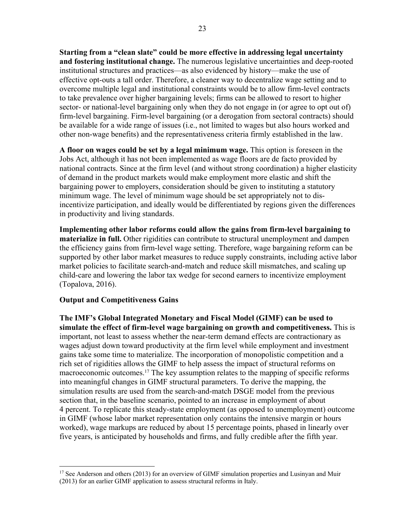**Starting from a "clean slate" could be more effective in addressing legal uncertainty and fostering institutional change.** The numerous legislative uncertainties and deep-rooted institutional structures and practices—as also evidenced by history—make the use of effective opt-outs a tall order. Therefore, a cleaner way to decentralize wage setting and to overcome multiple legal and institutional constraints would be to allow firm-level contracts to take prevalence over higher bargaining levels; firms can be allowed to resort to higher sector- or national-level bargaining only when they do not engage in (or agree to opt out of) firm-level bargaining. Firm-level bargaining (or a derogation from sectoral contracts) should be available for a wide range of issues (i.e., not limited to wages but also hours worked and other non-wage benefits) and the representativeness criteria firmly established in the law.

**A floor on wages could be set by a legal minimum wage.** This option is foreseen in the Jobs Act, although it has not been implemented as wage floors are de facto provided by national contracts. Since at the firm level (and without strong coordination) a higher elasticity of demand in the product markets would make employment more elastic and shift the bargaining power to employers, consideration should be given to instituting a statutory minimum wage. The level of minimum wage should be set appropriately not to disincentivize participation, and ideally would be differentiated by regions given the differences in productivity and living standards.

**Implementing other labor reforms could allow the gains from firm-level bargaining to materialize in full.** Other rigidities can contribute to structural unemployment and dampen the efficiency gains from firm-level wage setting. Therefore, wage bargaining reform can be supported by other labor market measures to reduce supply constraints, including active labor market policies to facilitate search-and-match and reduce skill mismatches, and scaling up child-care and lowering the labor tax wedge for second earners to incentivize employment (Topalova, 2016).

#### **Output and Competitiveness Gains**

 $\overline{a}$ 

**The IMF's Global Integrated Monetary and Fiscal Model (GIMF) can be used to simulate the effect of firm-level wage bargaining on growth and competitiveness.** This is important, not least to assess whether the near-term demand effects are contractionary as wages adjust down toward productivity at the firm level while employment and investment gains take some time to materialize. The incorporation of monopolistic competition and a rich set of rigidities allows the GIMF to help assess the impact of structural reforms on macroeconomic outcomes.17 The key assumption relates to the mapping of specific reforms into meaningful changes in GIMF structural parameters. To derive the mapping, the simulation results are used from the search-and-match DSGE model from the previous section that, in the baseline scenario, pointed to an increase in employment of about 4 percent. To replicate this steady-state employment (as opposed to unemployment) outcome in GIMF (whose labor market representation only contains the intensive margin or hours worked), wage markups are reduced by about 15 percentage points, phased in linearly over five years, is anticipated by households and firms, and fully credible after the fifth year.

<sup>&</sup>lt;sup>17</sup> See Anderson and others (2013) for an overview of GIMF simulation properties and Lusinyan and Muir (2013) for an earlier GIMF application to assess structural reforms in Italy.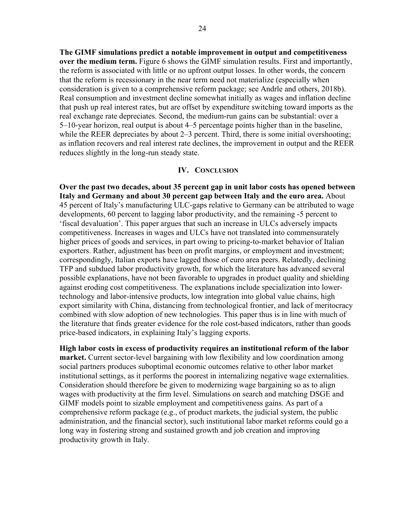**The GIMF simulations predict a notable improvement in output and competitiveness over the medium term.** Figure 6 shows the GIMF simulation results. First and importantly, the reform is associated with little or no upfront output losses. In other words, the concern that the reform is recessionary in the near term need not materialize (especially when consideration is given to a comprehensive reform package; see Andrle and others, 2018b). Real consumption and investment decline somewhat initially as wages and inflation decline that push up real interest rates, but are offset by expenditure switching toward imports as the real exchange rate depreciates. Second, the medium-run gains can be substantial: over a 5–10-year horizon, real output is about 4–5 percentage points higher than in the baseline, while the REER depreciates by about 2–3 percent. Third, there is some initial overshooting; as inflation recovers and real interest rate declines, the improvement in output and the REER reduces slightly in the long-run steady state.

#### **IV. CONCLUSION**

**Over the past two decades, about 35 percent gap in unit labor costs has opened between Italy and Germany and about 30 percent gap between Italy and the euro area.** About 45 percent of Italy's manufacturing ULC-gaps relative to Germany can be attributed to wage developments, 60 percent to lagging labor productivity, and the remaining -5 percent to 'fiscal devaluation'. This paper argues that such an increase in ULCs adversely impacts competitiveness. Increases in wages and ULCs have not translated into commensurately higher prices of goods and services, in part owing to pricing-to-market behavior of Italian exporters. Rather, adjustment has been on profit margins, or employment and investment; correspondingly, Italian exports have lagged those of euro area peers. Relatedly, declining TFP and subdued labor productivity growth, for which the literature has advanced several possible explanations, have not been favorable to upgrades in product quality and shielding against eroding cost competitiveness. The explanations include specialization into lowertechnology and labor-intensive products, low integration into global value chains, high export similarity with China, distancing from technological frontier, and lack of meritocracy combined with slow adoption of new technologies. This paper thus is in line with much of the literature that finds greater evidence for the role cost-based indicators, rather than goods price-based indicators, in explaining Italy's lagging exports.

**High labor costs in excess of productivity requires an institutional reform of the labor market.** Current sector-level bargaining with low flexibility and low coordination among social partners produces suboptimal economic outcomes relative to other labor market institutional settings, as it performs the poorest in internalizing negative wage externalities. Consideration should therefore be given to modernizing wage bargaining so as to align wages with productivity at the firm level. Simulations on search and matching DSGE and GIMF models point to sizable employment and competitiveness gains. As part of a comprehensive reform package (e.g., of product markets, the judicial system, the public administration, and the financial sector), such institutional labor market reforms could go a long way in fostering strong and sustained growth and job creation and improving productivity growth in Italy.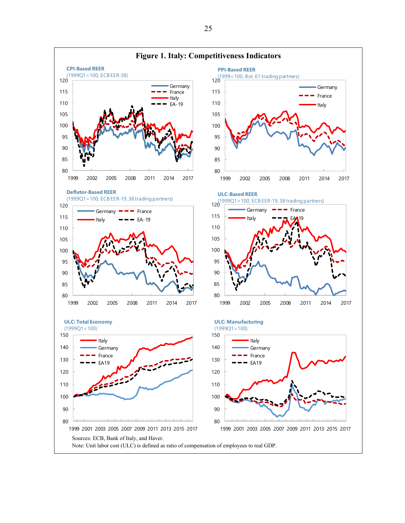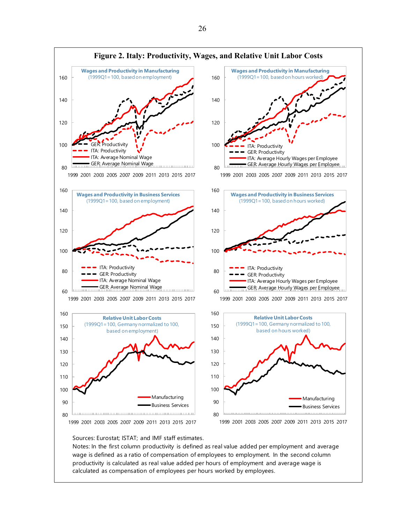

Sources: Eurostat; ISTAT; and IMF staff estimates.

ı

Notes: In the first column productivity is defined as real value added per employment and average wage is defined as a ratio of compensation of employees to employment. In the second column productivity is calculated as real value added per hours of employment and average wage is calculated as compensation of employees per hours worked by employees.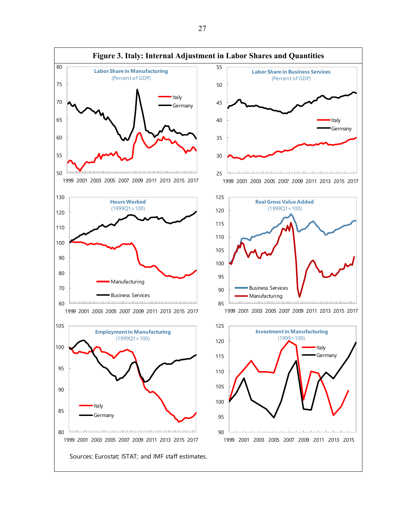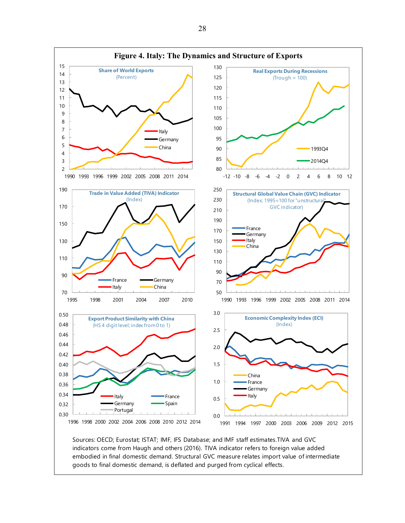

indicators come from Haugh and others (2016). TIVA indicator refers to foreign value added embodied in final domestic demand. Structural GVC measure relates import value of intermediate goods to final domestic demand, is deflated and purged from cyclical effects.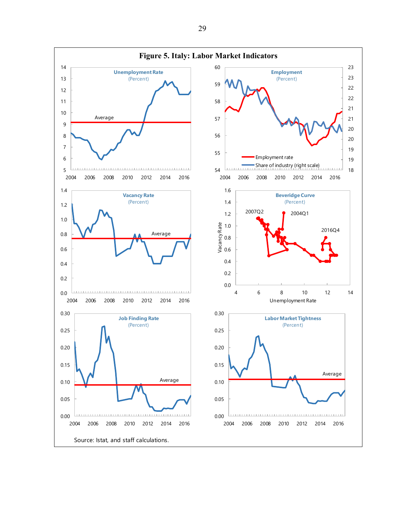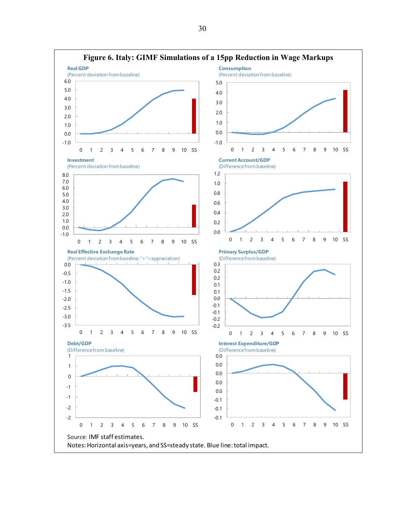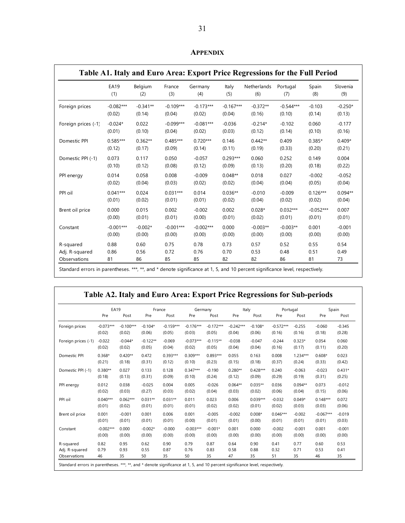|                     |             |            |             |             |             | Table A1. Italy and Euro Area: Export Price Regressions for the Full Period |             |             |           |
|---------------------|-------------|------------|-------------|-------------|-------------|-----------------------------------------------------------------------------|-------------|-------------|-----------|
|                     | <b>EA19</b> | Belgium    | France      | Germany     | Italy       | Netherlands                                                                 | Portugal    | Spain       | Slovenia  |
|                     | (1)         | (2)        | (3)         | (4)         | (5)         | (6)                                                                         | (7)         | (8)         | (9)       |
| Foreign prices      | $-0.082***$ | $-0.341**$ | $-0.109***$ | $-0.173***$ | $-0.167***$ | $-0.372**$                                                                  | $-0.544***$ | $-0.103$    | $-0.250*$ |
|                     | (0.02)      | (0.14)     | (0.04)      | (0.02)      | (0.04)      | (0.16)                                                                      | (0.10)      | (0.14)      | (0.13)    |
| Foreign prices (-1) | $-0.024*$   | 0.022      | $-0.099***$ | $-0.081***$ | $-0.036$    | $-0.214*$                                                                   | $-0.102$    | 0.060       | $-0.177$  |
|                     | (0.01)      | (0.10)     | (0.04)      | (0.02)      | (0.03)      | (0.12)                                                                      | (0.14)      | (0.10)      | (0.16)    |
| Domestic PPI        | $0.585***$  | $0.362**$  | $0.485***$  | $0.720***$  | 0.146       | $0.442**$                                                                   | 0.409       | $0.385*$    | $0.409*$  |
|                     | (0.12)      | (0.17)     | (0.09)      | (0.14)      | (0.11)      | (0.19)                                                                      | (0.33)      | (0.20)      | (0.21)    |
| Domestic PPI (-1)   | 0.073       | 0.117      | 0.050       | $-0.057$    | $0.293***$  | 0.060                                                                       | 0.252       | 0.149       | 0.004     |
|                     | (0.10)      | (0.12)     | (0.08)      | (0.12)      | (0.09)      | (0.13)                                                                      | (0.20)      | (0.18)      | (0.22)    |
| PPI energy          | 0.014       | 0.058      | 0.008       | $-0.009$    | $0.048**$   | 0.018                                                                       | 0.027       | $-0.002$    | $-0.052$  |
|                     | (0.02)      | (0.04)     | (0.03)      | (0.02)      | (0.02)      | (0.04)                                                                      | (0.04)      | (0.05)      | (0.04)    |
| PPI oil             | $0.041***$  | 0.024      | $0.031***$  | 0.014       | $0.036**$   | $-0.010$                                                                    | $-0.009$    | $0.126***$  | $0.094**$ |
|                     | (0.01)      | (0.02)     | (0.01)      | (0.01)      | (0.02)      | (0.04)                                                                      | (0.02)      | (0.02)      | (0.04)    |
| Brent oil price     | 0.000       | 0.015      | 0.002       | $-0.002$    | 0.002       | $0.028*$                                                                    | $0.032***$  | $-0.052***$ | 0.007     |
|                     | (0.00)      | (0.01)     | (0.01)      | (0.00)      | (0.01)      | (0.02)                                                                      | (0.01)      | (0.01)      | (0.01)    |
| Constant            | $-0.001***$ | $-0.002*$  | $-0.001***$ | $-0.002***$ | 0.000       | $-0.003**$                                                                  | $-0.003**$  | 0.001       | $-0.001$  |
|                     | (0.00)      | (0.00)     | (0.00)      | (0.00)      | (0.00)      | (0.00)                                                                      | (0.00)      | (0.00)      | (0.00)    |
| R-squared           | 0.88        | 0.60       | 0.75        | 0.78        | 0.73        | 0.57                                                                        | 0.52        | 0.55        | 0.54      |
| Adj. R-squared      | 0.86        | 0.56       | 0.72        | 0.76        | 0.70        | 0.53                                                                        | 0.48        | 0.51        | 0.49      |
| Observations        | 81          | 86         | 85          | 85          | 82          | 82                                                                          | 86          | 81          | 73        |

**APPENDIX** 

Standard errors in parentheses. \*\*\*, \*\*, and \* denote significance at 1, 5, and 10 percent significance level, respectively.

| Table A2. Italy and Euro Area: Export Price Regressions for Sub-periods |  |  |  |
|-------------------------------------------------------------------------|--|--|--|
|                                                                         |  |  |  |

|                     | <b>EA19</b> |             | France     |             | Germany     |             | Italy       |            | Portugal    |            | Spain       |          |
|---------------------|-------------|-------------|------------|-------------|-------------|-------------|-------------|------------|-------------|------------|-------------|----------|
|                     | Pre         | Post        | Pre        | Post        | Pre         | Post        | Pre         | Post       | Pre         | Post       | Pre         | Post     |
| Foreign prices      | $-0.073***$ | $-0.100***$ | $-0.104*$  | $-0.159***$ | $-0.176***$ | $-0.172***$ | $-0.242***$ | $-0.108*$  | $-0.572***$ | $-0.255$   | $-0.060$    | $-0.345$ |
|                     | (0.02)      | (0.02)      | (0.06)     | (0.05)      | (0.03)      | (0.05)      | (0.04)      | (0.06)     | (0.16)      | (0.16)     | (0.18)      | (0.28)   |
| Foreign prices (-1) | $-0.022$    | $-0.044*$   | $-0.122**$ | $-0.069$    | $-0.073***$ | $-0.115**$  | $-0.038$    | $-0.047$   | $-0.244$    | $0.323*$   | 0.054       | 0.060    |
|                     | (0.02)      | (0.02)      | (0.05)     | (0.04)      | (0.02)      | (0.05)      | (0.04)      | (0.04)     | (0.16)      | (0.17)     | (0.11)      | (0.20)   |
| Domestic PPI        | $0.368*$    | $0.420**$   | 0.472      | $0.393***$  | $0.309***$  | $0.893***$  | 0.055       | 0.163      | 0.008       | $1.234***$ | $0.608*$    | 0.023    |
|                     | (0.21)      | (0.18)      | (0.31)     | (0.12)      | (0.10)      | (0.23)      | (0.15)      | (0.18)     | (0.37)      | (0.24)     | (0.33)      | (0.42)   |
| Domestic PPI (-1)   | $0.380**$   | 0.027       | 0.133      | 0.128       | $0.347***$  | $-0.190$    | $0.280**$   | $0.428***$ | 0.240       | $-0.063$   | $-0.023$    | $0.431*$ |
|                     | (0.18)      | (0.13)      | (0.31)     | (0.09)      | (0.10)      | (0.24)      | (0.12)      | (0.09)     | (0.29)      | (0.19)     | (0.31)      | (0.25)   |
| PPI energy          | 0.012       | 0.038       | $-0.025$   | 0.004       | 0.005       | $-0.026$    | $0.064**$   | $0.035**$  | 0.036       | $0.094**$  | 0.073       | $-0.012$ |
|                     | (0.02)      | (0.03)      | (0.27)     | (0.03)      | (0.02)      | (0.04)      | (0.03)      | (0.02)     | (0.06)      | (0.04)     | (0.15)      | (0.06)   |
| PPI oil             | $0.040***$  | $0.062***$  | $0.031**$  | $0.031**$   | 0.011       | 0.023       | 0.006       | $0.039***$ | $-0.032$    | $0.049*$   | $0.148***$  | 0.072    |
|                     | (0.01)      | (0.02)      | (0.01)     | (0.01)      | (0.01)      | (0.02)      | (0.02)      | (0.01)     | (0.02)      | (0.03)     | (0.03)      | (0.06)   |
| Brent oil price     | 0.001       | $-0.001$    | 0.001      | 0.006       | 0.001       | $-0.005$    | $-0.002$    | $0.008*$   | $0.046***$  | $-0.002$   | $-0.067***$ | $-0.019$ |
|                     | (0.01)      | (0.01)      | (0.01)     | (0.01)      | (0.00)      | (0.01)      | (0.01)      | (0.00)     | (0.01)      | (0.01)     | (0.01)      | (0.03)   |
| Constant            | $-0.002***$ | 0.000       | $-0.002*$  | $-0.000$    | $-0.003***$ | $-0.001*$   | 0.001       | 0.000      | $-0.002$    | $-0.001$   | 0.001       | $-0.001$ |
|                     | (0.00)      | (0.00)      | (0.00)     | (0.00)      | (0.00)      | (0.00)      | (0.00)      | (0.00)     | (0.00)      | (0.00)     | (0.00)      | (0.00)   |
| R-squared           | 0.82        | 0.95        | 0.62       | 0.90        | 0.79        | 0.87        | 0.64        | 0.90       | 0.41        | 0.77       | 0.60        | 0.53     |
| Adj. R-squared      | 0.79        | 0.93        | 0.55       | 0.87        | 0.76        | 0.83        | 0.58        | 0.88       | 0.32        | 0.71       | 0.53        | 0.41     |
| Observations        | 46          | 35          | 50         | 35          | 50          | 35          | 47          | 35         | 51          | 35         | 46          | 35       |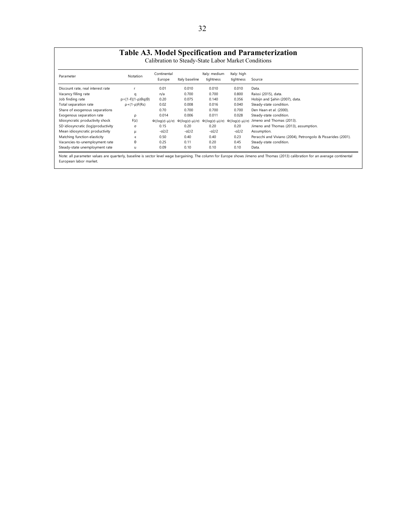# **Table A3. Model Specification and Parameterization**

Calibration to Steady-State Labor Market Conditions

| Parameter                          | Notation                       | Continental<br>Europe        | Italy baseline               | Italy: medium<br>tightness   | Italy: high<br>tightness     | Source                                                       |
|------------------------------------|--------------------------------|------------------------------|------------------------------|------------------------------|------------------------------|--------------------------------------------------------------|
| Discount rate, real interest rate  |                                | 0.01                         | 0.010                        | 0.010                        | 0.010                        | Data.                                                        |
| Vacancy filling rate               | a                              | n/a                          | 0.700                        | 0.700                        | 0.800                        | Raissi (2015), data.                                         |
| Job finding rate                   | $p=[1-F](1-p)\theta q(\theta)$ | 0.20                         | 0.075                        | 0.140                        | 0.356                        | Hobijn and Şahin (2007), data.                               |
| Total separation rate              | $p+(1-p)F(Rs)$                 | 0.02                         | 0.008                        | 0.016                        | 0.040                        | Steady-state condition.                                      |
| Share of exogenous separations     |                                | 0.70                         | 0.700                        | 0.700                        | 0.700                        | Den Haan et al. (2000).                                      |
| Exogenous separation rate          | ρ                              | 0.014                        | 0.006                        | 0.011                        | 0.028                        | Steady-state condition.                                      |
| Idiosyncratic productivity shock   | F(z)                           | $\Phi((\log(z)-\mu)/\sigma)$ | $\Phi((\log(z)-\mu)/\sigma)$ | $\Phi((\log(z)-\mu)/\sigma)$ | $\Phi((\log(z)-\mu)/\sigma)$ | Jimeno and Thomas (2013).                                    |
| SD idiosyncratic (log)productivity | σ                              | 0.15                         | 0.20                         | 0.20                         | 0.20                         | Jimeno and Thomas (2013), assumption.                        |
| Mean idiosyncratic productivity    | μ                              | $-\sigma^2/2$                | $-\sigma^2/2$                | $-\sigma^2/2$                | $-\sigma^2/2$                | Assumption.                                                  |
| Matching function elasticity       | $\epsilon$                     | 0.50                         | 0.40                         | 0.40                         | 0.23                         | Peracchi and Viviano (2004), Petrongolo & Pissarides (2001). |
| Vacancies-to-unemployment rate     | $\theta$                       | 0.25                         | 0.11                         | 0.20                         | 0.45                         | Steady-state condition.                                      |
| Steady-state unemployment rate     | u                              | 0.09                         | 0.10                         | 0.10                         | 0.10                         | Data.                                                        |

Note: all parameter values are quarterly, baseline is sector level wage bargaining. The column for Europe shows Jimeno and Thomas (2013) calibration for an average continental European labor market.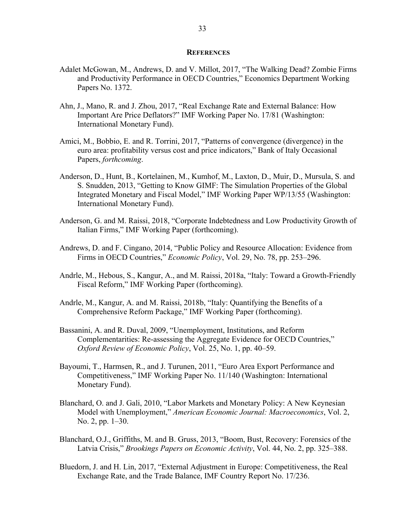#### **REFERENCES**

- Adalet McGowan, M., Andrews, D. and V. Millot, 2017, "The Walking Dead? Zombie Firms and Productivity Performance in OECD Countries," Economics Department Working Papers No. 1372.
- Ahn, J., Mano, R. and J. Zhou, 2017, "Real Exchange Rate and External Balance: How Important Are Price Deflators?" IMF Working Paper No. 17/81 (Washington: International Monetary Fund).
- Amici, M., Bobbio, E. and R. Torrini, 2017, "Patterns of convergence (divergence) in the euro area: profitability versus cost and price indicators," Bank of Italy Occasional Papers, *forthcoming*.
- Anderson, D., Hunt, B., Kortelainen, M., Kumhof, M., Laxton, D., Muir, D., Mursula, S. and S. Snudden, 2013, "Getting to Know GIMF: The Simulation Properties of the Global Integrated Monetary and Fiscal Model," IMF Working Paper WP/13/55 (Washington: International Monetary Fund).
- Anderson, G. and M. Raissi, 2018, "Corporate Indebtedness and Low Productivity Growth of Italian Firms," IMF Working Paper (forthcoming).
- Andrews, D. and F. Cingano, 2014, "Public Policy and Resource Allocation: Evidence from Firms in OECD Countries," *Economic Policy*, Vol. 29, No. 78, pp. 253–296.
- Andrle, M., Hebous, S., Kangur, A., and M. Raissi, 2018a, "Italy: Toward a Growth-Friendly Fiscal Reform," IMF Working Paper (forthcoming).
- Andrle, M., Kangur, A. and M. Raissi, 2018b, "Italy: Quantifying the Benefits of a Comprehensive Reform Package," IMF Working Paper (forthcoming).
- Bassanini, A. and R. Duval, 2009, "Unemployment, Institutions, and Reform Complementarities: Re-assessing the Aggregate Evidence for OECD Countries," *Oxford Review of Economic Policy*, Vol. 25, No. 1, pp. 40–59.
- Bayoumi, T., Harmsen, R., and J. Turunen, 2011, "Euro Area Export Performance and Competitiveness," IMF Working Paper No. 11/140 (Washington: International Monetary Fund).
- Blanchard, O. and J. Gali, 2010, "Labor Markets and Monetary Policy: A New Keynesian Model with Unemployment," *American Economic Journal: Macroeconomics*, Vol. 2, No. 2, pp. 1–30.
- Blanchard, O.J., Griffiths, M. and B. Gruss, 2013, "Boom, Bust, Recovery: Forensics of the Latvia Crisis," *Brookings Papers on Economic Activity*, Vol. 44, No. 2, pp. 325–388.
- Bluedorn, J. and H. Lin, 2017, "External Adjustment in Europe: Competitiveness, the Real Exchange Rate, and the Trade Balance, IMF Country Report No. 17/236.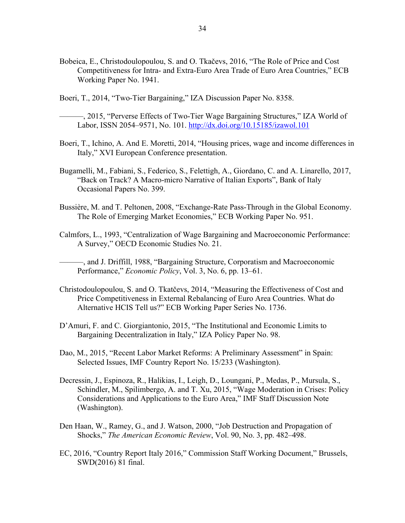- Bobeica, E., Christodoulopoulou, S. and O. Tkačevs, 2016, "The Role of Price and Cost Competitiveness for Intra- and Extra-Euro Area Trade of Euro Area Countries," ECB Working Paper No. 1941.
- Boeri, T., 2014, "Two-Tier Bargaining," IZA Discussion Paper No. 8358.
	- ———, 2015, "Perverse Effects of Two-Tier Wage Bargaining Structures," IZA World of Labor, ISSN 2054–9571, No. 101. http://dx.doi.org/10.15185/izawol.101
- Boeri, T., Ichino, A. And E. Moretti, 2014, "Housing prices, wage and income differences in Italy," XVI European Conference presentation.
- Bugamelli, M., Fabiani, S., Federico, S., Felettigh, A., Giordano, C. and A. Linarello, 2017, "Back on Track? A Macro-micro Narrative of Italian Exports", Bank of Italy Occasional Papers No. 399.
- Bussière, M. and T. Peltonen, 2008, "Exchange-Rate Pass-Through in the Global Economy. The Role of Emerging Market Economies," ECB Working Paper No. 951.
- Calmfors, L., 1993, "Centralization of Wage Bargaining and Macroeconomic Performance: A Survey," OECD Economic Studies No. 21.
	- ———, and J. Driffill, 1988, "Bargaining Structure, Corporatism and Macroeconomic Performance," *Economic Policy*, Vol. 3, No. 6, pp. 13–61.
- Christodoulopoulou, S. and O. Tkatčevs, 2014, "Measuring the Effectiveness of Cost and Price Competitiveness in External Rebalancing of Euro Area Countries. What do Alternative HCIS Tell us?" ECB Working Paper Series No. 1736.
- D'Amuri, F. and C. Giorgiantonio, 2015, "The Institutional and Economic Limits to Bargaining Decentralization in Italy," IZA Policy Paper No. 98.
- Dao, M., 2015, "Recent Labor Market Reforms: A Preliminary Assessment" in Spain: Selected Issues, IMF Country Report No. 15/233 (Washington).
- Decressin, J., Espinoza, R., Halikias, I., Leigh, D., Loungani, P., Medas, P., Mursula, S., Schindler, M., Spilimbergo, A. and T. Xu, 2015, "Wage Moderation in Crises: Policy Considerations and Applications to the Euro Area," IMF Staff Discussion Note (Washington).
- Den Haan, W., Ramey, G., and J. Watson, 2000, "Job Destruction and Propagation of Shocks," *The American Economic Review*, Vol. 90, No. 3, pp. 482–498.
- EC, 2016, "Country Report Italy 2016," Commission Staff Working Document," Brussels, SWD(2016) 81 final.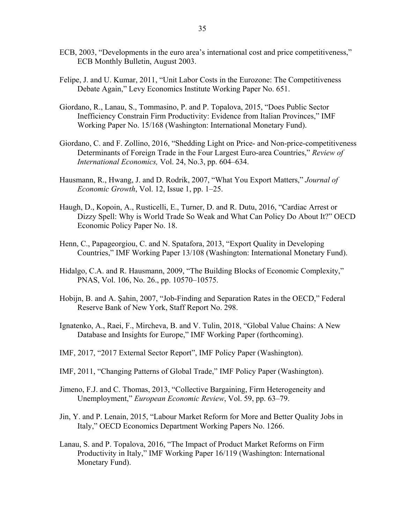- ECB, 2003, "Developments in the euro area's international cost and price competitiveness," ECB Monthly Bulletin, August 2003.
- Felipe, J. and U. Kumar, 2011, "Unit Labor Costs in the Eurozone: The Competitiveness Debate Again," Levy Economics Institute Working Paper No. 651.
- Giordano, R., Lanau, S., Tommasino, P. and P. Topalova, 2015, "Does Public Sector Inefficiency Constrain Firm Productivity: Evidence from Italian Provinces," IMF Working Paper No. 15/168 (Washington: International Monetary Fund).
- Giordano, C. and F. Zollino, 2016, "Shedding Light on Price- and Non-price-competitiveness Determinants of Foreign Trade in the Four Largest Euro-area Countries," *Review of International Economics,* Vol. 24, No.3, pp. 604–634.
- Hausmann, R., Hwang, J. and D. Rodrik, 2007, "What You Export Matters," *Journal of Economic Growth*, Vol. 12, Issue 1, pp. 1–25.
- Haugh, D., Kopoin, A., Rusticelli, E., Turner, D. and R. Dutu, 2016, "Cardiac Arrest or Dizzy Spell: Why is World Trade So Weak and What Can Policy Do About It?" OECD Economic Policy Paper No. 18.
- Henn, C., Papageorgiou, C. and N. Spatafora, 2013, "Export Quality in Developing Countries," IMF Working Paper 13/108 (Washington: International Monetary Fund).
- Hidalgo, C.A. and R. Hausmann, 2009, "The Building Blocks of Economic Complexity," PNAS, Vol. 106, No. 26., pp. 10570–10575.
- Hobijn, B. and A. Şahin, 2007, "Job-Finding and Separation Rates in the OECD," Federal Reserve Bank of New York, Staff Report No. 298.
- Ignatenko, A., Raei, F., Mircheva, B. and V. Tulin, 2018, "Global Value Chains: A New Database and Insights for Europe," IMF Working Paper (forthcoming).
- IMF, 2017, "2017 External Sector Report", IMF Policy Paper (Washington).
- IMF, 2011, "Changing Patterns of Global Trade," IMF Policy Paper (Washington).
- Jimeno, F.J. and C. Thomas, 2013, "Collective Bargaining, Firm Heterogeneity and Unemployment," *European Economic Review*, Vol. 59, pp. 63–79.
- Jin, Y. and P. Lenain, 2015, "Labour Market Reform for More and Better Quality Jobs in Italy," OECD Economics Department Working Papers No. 1266.
- Lanau, S. and P. Topalova, 2016, "The Impact of Product Market Reforms on Firm Productivity in Italy," IMF Working Paper 16/119 (Washington: International Monetary Fund).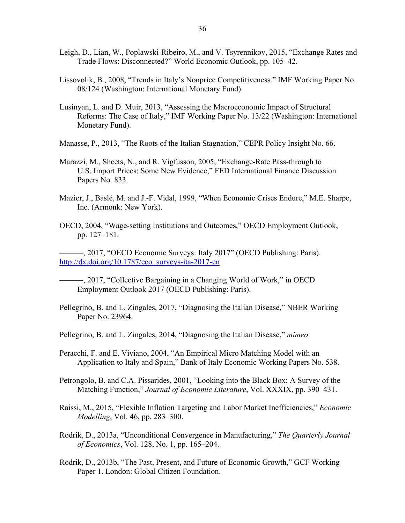- Leigh, D., Lian, W., Poplawski-Ribeiro, M., and V. Tsyrennikov, 2015, "Exchange Rates and Trade Flows: Disconnected?" World Economic Outlook, pp. 105–42.
- Lissovolik, B., 2008, "Trends in Italy's Nonprice Competitiveness," IMF Working Paper No. 08/124 (Washington: International Monetary Fund).
- Lusinyan, L. and D. Muir, 2013, "Assessing the Macroeconomic Impact of Structural Reforms: The Case of Italy," IMF Working Paper No. 13/22 (Washington: International Monetary Fund).
- Manasse, P., 2013, "The Roots of the Italian Stagnation," CEPR Policy Insight No. 66.
- Marazzi, M., Sheets, N., and R. Vigfusson, 2005, "Exchange-Rate Pass-through to U.S. Import Prices: Some New Evidence," FED International Finance Discussion Papers No. 833.
- Mazier, J., Baslé, M. and J.-F. Vidal, 1999, "When Economic Crises Endure," M.E. Sharpe, Inc. (Armonk: New York).
- OECD, 2004, "Wage-setting Institutions and Outcomes," OECD Employment Outlook, pp. 127–181.

———, 2017, "OECD Economic Surveys: Italy 2017" (OECD Publishing: Paris). http://dx.doi.org/10.1787/eco\_surveys-ita-2017-en

- ———, 2017, "Collective Bargaining in a Changing World of Work," in OECD Employment Outlook 2017 (OECD Publishing: Paris).
- Pellegrino, B. and L. Zingales, 2017, "Diagnosing the Italian Disease," NBER Working Paper No. 23964.
- Pellegrino, B. and L. Zingales, 2014, "Diagnosing the Italian Disease," *mimeo*.
- Peracchi, F. and E. Viviano, 2004, "An Empirical Micro Matching Model with an Application to Italy and Spain," Bank of Italy Economic Working Papers No. 538.
- Petrongolo, B. and C.A. Pissarides, 2001, "Looking into the Black Box: A Survey of the Matching Function," *Journal of Economic Literature*, Vol. XXXIX, pp. 390–431.
- Raissi, M., 2015, "Flexible Inflation Targeting and Labor Market Inefficiencies," *Economic Modelling*, Vol. 46, pp. 283–300.
- Rodrik, D., 2013a, "Unconditional Convergence in Manufacturing," *The Quarterly Journal of Economics*, Vol. 128, No. 1, pp. 165–204.
- Rodrik, D., 2013b, "The Past, Present, and Future of Economic Growth," GCF Working Paper 1. London: Global Citizen Foundation.